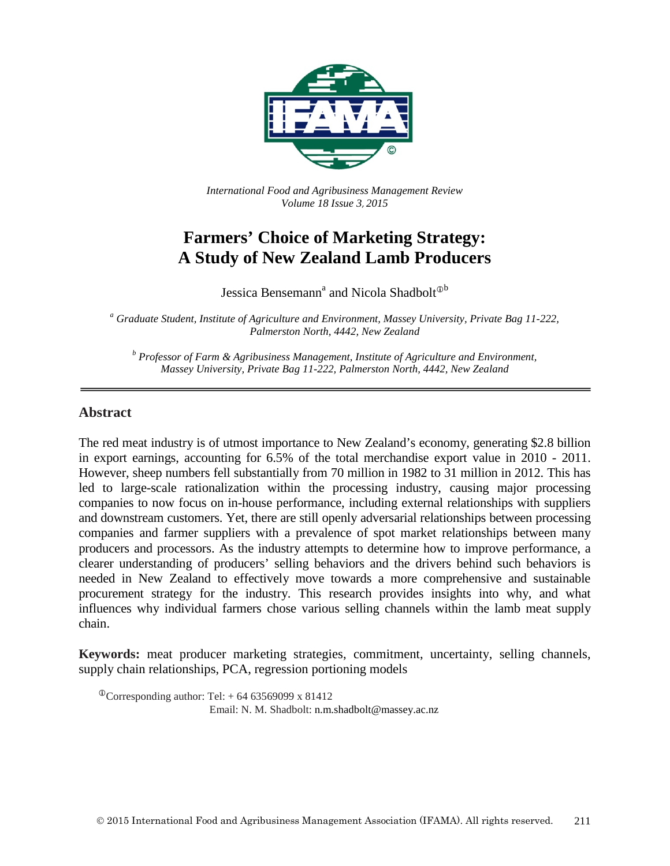

*International Food and Agribusiness Management Review Volume 18 Issue 3*, *2015*

# **Farmers' Choice of Marketing Strategy: A Study of New Zealand Lamb Producers**

Jessica Bensemann<sup>a</sup> and Nicola Shadbolt<sup> $\Phi$ b</sup>

*<sup>a</sup> Graduate Student, Institute of Agriculture and Environment, Massey University, Private Bag 11-222, Palmerston North, 4442, New Zealand*

*<sup>b</sup> Professor of Farm & Agribusiness Management, Institute of Agriculture and Environment, Massey University, Private Bag 11-222, Palmerston North, 4442, New Zealand*

### **Abstract**

The red meat industry is of utmost importance to New Zealand's economy, generating \$2.8 billion in export earnings, accounting for 6.5% of the total merchandise export value in 2010 - 2011. However, sheep numbers fell substantially from 70 million in 1982 to 31 million in 2012. This has led to large-scale rationalization within the processing industry, causing major processing companies to now focus on in-house performance, including external relationships with suppliers and downstream customers. Yet, there are still openly adversarial relationships between processing companies and farmer suppliers with a prevalence of spot market relationships between many producers and processors. As the industry attempts to determine how to improve performance, a clearer understanding of producers' selling behaviors and the drivers behind such behaviors is needed in New Zealand to effectively move towards a more comprehensive and sustainable procurement strategy for the industry. This research provides insights into why, and what influences why individual farmers chose various selling channels within the lamb meat supply chain.

**Keywords:** meat producer marketing strategies, commitment, uncertainty, selling channels, supply chain relationships, PCA, regression portioning models

<sup>The</sup> Corresponding author: Tel:  $+$  64 63569099 x 81412 Email: N. M. Shadbolt: n.m.shadbolt@massey.ac.nz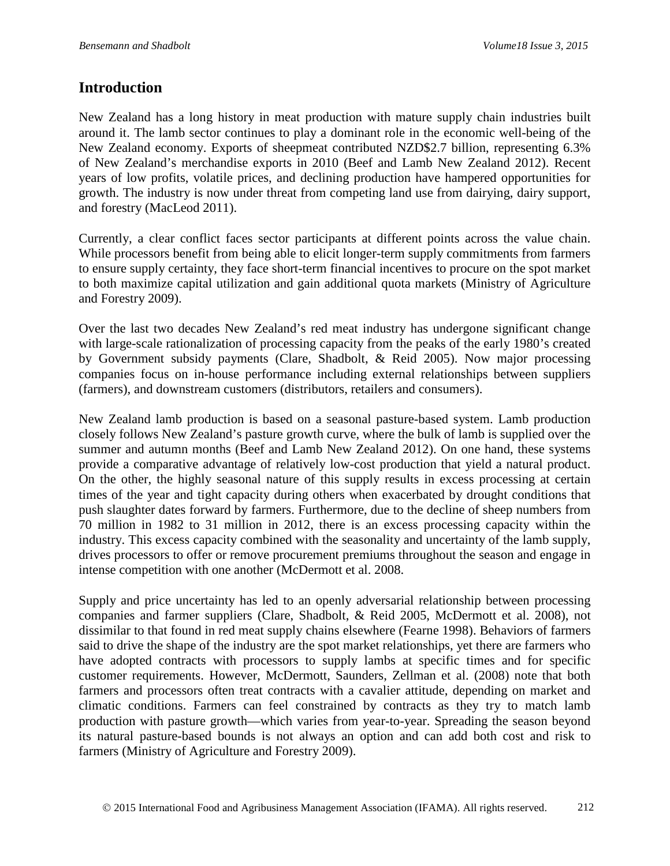# **Introduction**

New Zealand has a long history in meat production with mature supply chain industries built around it. The lamb sector continues to play a dominant role in the economic well-being of the New Zealand economy. Exports of sheepmeat contributed NZD\$2.7 billion, representing 6.3% of New Zealand's merchandise exports in 2010 (Beef and Lamb New Zealand 2012). Recent years of low profits, volatile prices, and declining production have hampered opportunities for growth. The industry is now under threat from competing land use from dairying, dairy support, and forestry (MacLeod 2011).

Currently, a clear conflict faces sector participants at different points across the value chain. While processors benefit from being able to elicit longer-term supply commitments from farmers to ensure supply certainty, they face short-term financial incentives to procure on the spot market to both maximize capital utilization and gain additional quota markets (Ministry of Agriculture and Forestry 2009).

Over the last two decades New Zealand's red meat industry has undergone significant change with large-scale rationalization of processing capacity from the peaks of the early 1980's created by Government subsidy payments (Clare, Shadbolt, & Reid 2005). Now major processing companies focus on in-house performance including external relationships between suppliers (farmers), and downstream customers (distributors, retailers and consumers).

New Zealand lamb production is based on a seasonal pasture-based system. Lamb production closely follows New Zealand's pasture growth curve, where the bulk of lamb is supplied over the summer and autumn months (Beef and Lamb New Zealand 2012). On one hand, these systems provide a comparative advantage of relatively low-cost production that yield a natural product. On the other, the highly seasonal nature of this supply results in excess processing at certain times of the year and tight capacity during others when exacerbated by drought conditions that push slaughter dates forward by farmers. Furthermore, due to the decline of sheep numbers from 70 million in 1982 to 31 million in 2012, there is an excess processing capacity within the industry. This excess capacity combined with the seasonality and uncertainty of the lamb supply, drives processors to offer or remove procurement premiums throughout the season and engage in intense competition with one another (McDermott et al. 2008.

Supply and price uncertainty has led to an openly adversarial relationship between processing companies and farmer suppliers (Clare, Shadbolt, & Reid 2005, McDermott et al. 2008), not dissimilar to that found in red meat supply chains elsewhere (Fearne 1998). Behaviors of farmers said to drive the shape of the industry are the spot market relationships, yet there are farmers who have adopted contracts with processors to supply lambs at specific times and for specific customer requirements. However, McDermott, Saunders, Zellman et al. (2008) note that both farmers and processors often treat contracts with a cavalier attitude, depending on market and climatic conditions. Farmers can feel constrained by contracts as they try to match lamb production with pasture growth—which varies from year-to-year. Spreading the season beyond its natural pasture-based bounds is not always an option and can add both cost and risk to farmers (Ministry of Agriculture and Forestry 2009).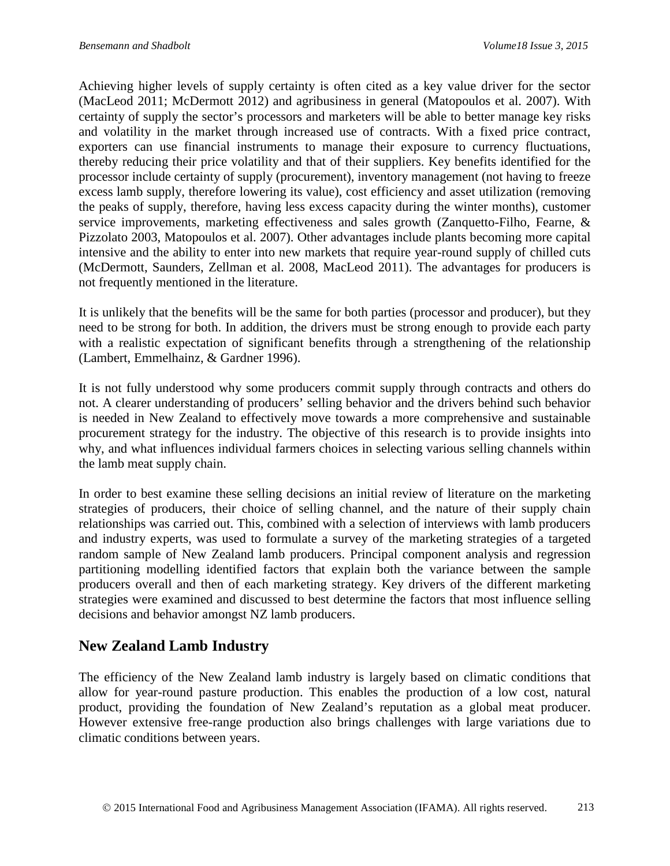Achieving higher levels of supply certainty is often cited as a key value driver for the sector (MacLeod 2011; McDermott 2012) and agribusiness in general (Matopoulos et al. 2007). With certainty of supply the sector's processors and marketers will be able to better manage key risks and volatility in the market through increased use of contracts. With a fixed price contract, exporters can use financial instruments to manage their exposure to currency fluctuations, thereby reducing their price volatility and that of their suppliers. Key benefits identified for the processor include certainty of supply (procurement), inventory management (not having to freeze excess lamb supply, therefore lowering its value), cost efficiency and asset utilization (removing the peaks of supply, therefore, having less excess capacity during the winter months), customer service improvements, marketing effectiveness and sales growth (Zanquetto-Filho, Fearne, & Pizzolato 2003, Matopoulos et al. 2007). Other advantages include plants becoming more capital intensive and the ability to enter into new markets that require year-round supply of chilled cuts (McDermott, Saunders, Zellman et al. 2008, MacLeod 2011). The advantages for producers is not frequently mentioned in the literature.

It is unlikely that the benefits will be the same for both parties (processor and producer), but they need to be strong for both. In addition, the drivers must be strong enough to provide each party with a realistic expectation of significant benefits through a strengthening of the relationship [\(Lambert, Emmelhainz, & Gardner](#page-23-0) 1996).

It is not fully understood why some producers commit supply through contracts and others do not. A clearer understanding of producers' selling behavior and the drivers behind such behavior is needed in New Zealand to effectively move towards a more comprehensive and sustainable procurement strategy for the industry. The objective of this research is to provide insights into why, and what influences individual farmers choices in selecting various selling channels within the lamb meat supply chain.

In order to best examine these selling decisions an initial review of literature on the marketing strategies of producers, their choice of selling channel, and the nature of their supply chain relationships was carried out. This, combined with a selection of interviews with lamb producers and industry experts, was used to formulate a survey of the marketing strategies of a targeted random sample of New Zealand lamb producers. Principal component analysis and regression partitioning modelling identified factors that explain both the variance between the sample producers overall and then of each marketing strategy. Key drivers of the different marketing strategies were examined and discussed to best determine the factors that most influence selling decisions and behavior amongst NZ lamb producers.

# **New Zealand Lamb Industry**

The efficiency of the New Zealand lamb industry is largely based on climatic conditions that allow for year-round pasture production. This enables the production of a low cost, natural product, providing the foundation of New Zealand's reputation as a global meat producer. However extensive free-range production also brings challenges with large variations due to climatic conditions between years.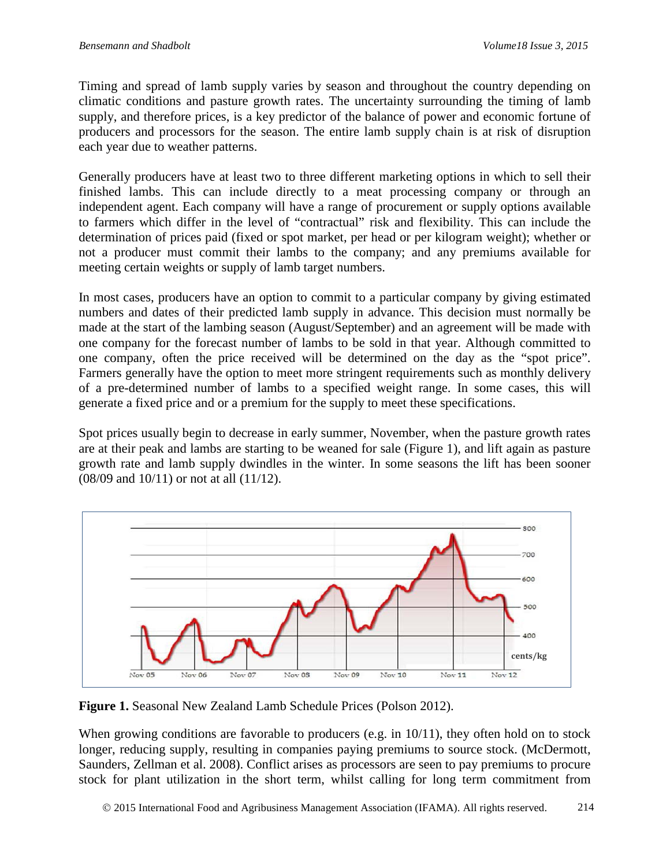Timing and spread of lamb supply varies by season and throughout the country depending on climatic conditions and pasture growth rates. The uncertainty surrounding the timing of lamb supply, and therefore prices, is a key predictor of the balance of power and economic fortune of producers and processors for the season. The entire lamb supply chain is at risk of disruption each year due to weather patterns.

Generally producers have at least two to three different marketing options in which to sell their finished lambs. This can include directly to a meat processing company or through an independent agent. Each company will have a range of procurement or supply options available to farmers which differ in the level of "contractual" risk and flexibility. This can include the determination of prices paid (fixed or spot market, per head or per kilogram weight); whether or not a producer must commit their lambs to the company; and any premiums available for meeting certain weights or supply of lamb target numbers.

In most cases, producers have an option to commit to a particular company by giving estimated numbers and dates of their predicted lamb supply in advance. This decision must normally be made at the start of the lambing season (August/September) and an agreement will be made with one company for the forecast number of lambs to be sold in that year. Although committed to one company, often the price received will be determined on the day as the "spot price". Farmers generally have the option to meet more stringent requirements such as monthly delivery of a pre-determined number of lambs to a specified weight range. In some cases, this will generate a fixed price and or a premium for the supply to meet these specifications.

Spot prices usually begin to decrease in early summer, November, when the pasture growth rates are at their peak and lambs are starting to be weaned for sale (Figure 1), and lift again as pasture growth rate and lamb supply dwindles in the winter. In some seasons the lift has been sooner (08/09 and 10/11) or not at all (11/12).



**Figure 1.** Seasonal New Zealand Lamb Schedule Prices (Polson 2012).

When growing conditions are favorable to producers (e.g. in 10/11), they often hold on to stock longer, reducing supply, resulting in companies paying premiums to source stock. (McDermott, Saunders, Zellman et al. 2008). Conflict arises as processors are seen to pay premiums to procure stock for plant utilization in the short term, whilst calling for long term commitment from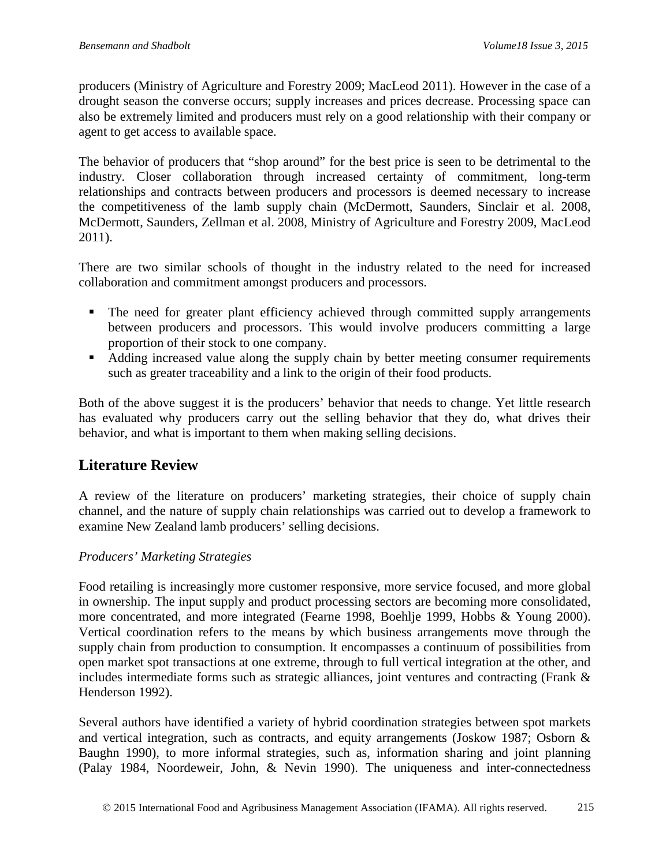producers (Ministry of Agriculture and Forestry 2009; MacLeod 2011). However in the case of a drought season the converse occurs; supply increases and prices decrease. Processing space can also be extremely limited and producers must rely on a good relationship with their company or agent to get access to available space.

The behavior of producers that "shop around" for the best price is seen to be detrimental to the industry. Closer collaboration through increased certainty of commitment, long-term relationships and contracts between producers and processors is deemed necessary to increase the competitiveness of the lamb supply chain (McDermott, Saunders, Sinclair et al. 2008, McDermott, Saunders, Zellman et al. 2008, Ministry of Agriculture and Forestry 2009, MacLeod 2011).

There are two similar schools of thought in the industry related to the need for increased collaboration and commitment amongst producers and processors.

- The need for greater plant efficiency achieved through committed supply arrangements between producers and processors. This would involve producers committing a large proportion of their stock to one company.
- Adding increased value along the supply chain by better meeting consumer requirements such as greater traceability and a link to the origin of their food products.

Both of the above suggest it is the producers' behavior that needs to change. Yet little research has evaluated why producers carry out the selling behavior that they do, what drives their behavior, and what is important to them when making selling decisions.

# **Literature Review**

A review of the literature on producers' marketing strategies, their choice of supply chain channel, and the nature of supply chain relationships was carried out to develop a framework to examine New Zealand lamb producers' selling decisions.

## *Producers' Marketing Strategies*

Food retailing is increasingly more customer responsive, more service focused, and more global in ownership. The input supply and product processing sectors are becoming more consolidated, more concentrated, and more integrated [\(Fearne](#page-21-0) 1998, [Boehlje](#page-20-0) 1999, [Hobbs & Young](#page-22-0) 2000). Vertical coordination refers to the means by which business arrangements move through the supply chain from production to consumption. It encompasses a continuum of possibilities from open market spot transactions at one extreme, through to full vertical integration at the other, and includes intermediate forms such as strategic alliances, joint ventures and contracting [\(Frank &](#page-22-1)  [Henderson](#page-22-1) 1992).

Several authors have identified a variety of hybrid coordination strategies between spot markets and vertical integration, such as contracts, and equity arrangements [\(Joskow](#page-23-1) 1987; [Osborn &](#page-24-0)  [Baughn](#page-24-0) 1990), to more informal strategies, such as, information sharing and joint planning (Palay 1984, Noordeweir, John, & Nevin 1990). The uniqueness and inter-connectedness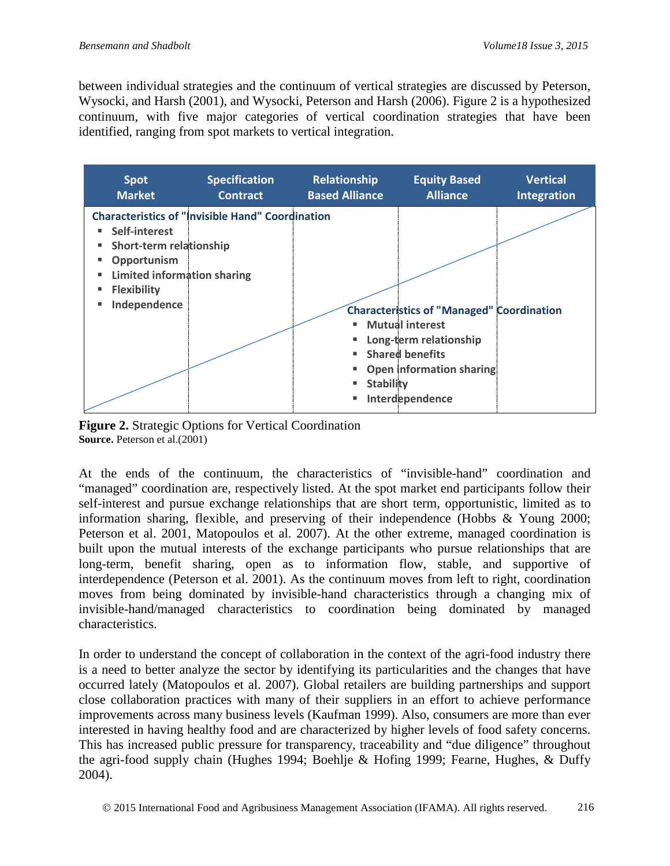between individual strategies and the continuum of vertical strategies are discussed by Peterson, Wysocki, and Harsh (2001), and Wysocki, Peterson and Harsh (2006). Figure 2 is a hypothesized continuum, with five major categories of vertical coordination strategies that have been identified, ranging from spot markets to vertical integration.



**Figure 2.** Strategic Options for Vertical Coordination **Source.** Peterson et al.(2001)

At the ends of the continuum, the characteristics of "invisible-hand" coordination and "managed" coordination are, respectively listed. At the spot market end participants follow their self-interest and pursue exchange relationships that are short term, opportunistic, limited as to information sharing, flexible, and preserving of their independence [\(Hobbs & Young 2000;](#page-22-0) Peterson et al. 2001, Matopoulos et al. 2007). At the other extreme, managed coordination is built upon the mutual interests of the exchange participants who pursue relationships that are long-term, benefit sharing, open as to information flow, stable, and supportive of interdependence (Peterson et al. 2001). As the continuum moves from left to right, coordination moves from being dominated by invisible-hand characteristics through a changing mix of invisible-hand/managed characteristics to coordination being dominated by managed characteristics.

In order to understand the concept of collaboration in the context of the agri-food industry there is a need to better analyze the sector by identifying its particularities and the changes that have occurred lately (Matopoulos et al. 2007). Global retailers are building partnerships and support close collaboration practices with many of their suppliers in an effort to achieve performance improvements across many business levels [\(Kaufman](#page-23-2) 1999). Also, consumers are more than ever interested in having healthy food and are characterized by higher levels of food safety concerns. This has increased public pressure for transparency, traceability and "due diligence" throughout the agri-food supply chain [\(Hughes](#page-22-2) 1994; [Boehlje & Hofing](#page-20-1) 1999; [Fearne, Hughes, & Duffy](#page-21-1)  [2004\)](#page-21-1).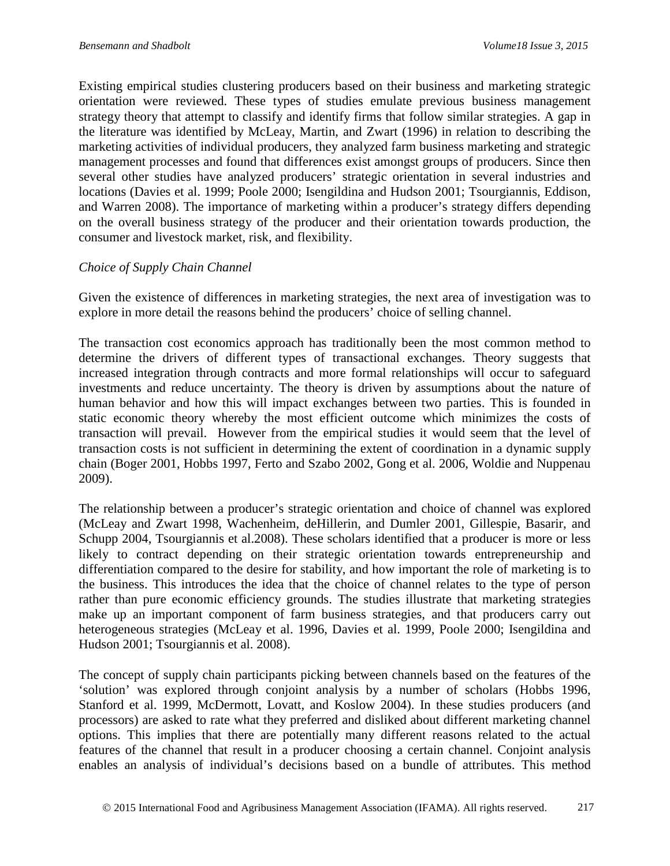Existing empirical studies clustering producers based on their business and marketing strategic orientation were reviewed. These types of studies emulate previous business management strategy theory that attempt to classify and identify firms that follow similar strategies. A gap in the literature was identified by McLeay, Martin, and Zwart (1996) in relation to describing the marketing activities of individual producers, they analyzed farm business marketing and strategic management processes and found that differences exist amongst groups of producers. Since then several other studies have analyzed producers' strategic orientation in several industries and locations (Davies et al. 1999; Poole 2000; Isengildina and Hudson 2001; Tsourgiannis, Eddison, and Warren 2008). The importance of marketing within a producer's strategy differs depending on the overall business strategy of the producer and their orientation towards production, the consumer and livestock market, risk, and flexibility.

### *Choice of Supply Chain Channel*

Given the existence of differences in marketing strategies, the next area of investigation was to explore in more detail the reasons behind the producers' choice of selling channel.

The transaction cost economics approach has traditionally been the most common method to determine the drivers of different types of transactional exchanges. Theory suggests that increased integration through contracts and more formal relationships will occur to safeguard investments and reduce uncertainty. The theory is driven by assumptions about the nature of human behavior and how this will impact exchanges between two parties. This is founded in static economic theory whereby the most efficient outcome which minimizes the costs of transaction will prevail. However from the empirical studies it would seem that the level of transaction costs is not sufficient in determining the extent of coordination in a dynamic supply chain (Boger 2001, Hobbs 1997, Ferto and Szabo 2002, Gong et al. 2006, Woldie and Nuppenau 2009).

The relationship between a producer's strategic orientation and choice of channel was explored (McLeay and Zwart 1998, Wachenheim, deHillerin, and Dumler 2001, Gillespie, Basarir, and Schupp 2004, Tsourgiannis et al.2008). These scholars identified that a producer is more or less likely to contract depending on their strategic orientation towards entrepreneurship and differentiation compared to the desire for stability, and how important the role of marketing is to the business. This introduces the idea that the choice of channel relates to the type of person rather than pure economic efficiency grounds. The studies illustrate that marketing strategies make up an important component of farm business strategies, and that producers carry out heterogeneous strategies (McLeay et al. 1996, Davies et al. 1999, Poole 2000; Isengildina and Hudson 2001; Tsourgiannis et al. 2008).

The concept of supply chain participants picking between channels based on the features of the 'solution' was explored through conjoint analysis by a number of scholars (Hobbs 1996, Stanford et al. 1999, McDermott, Lovatt, and Koslow 2004). In these studies producers (and processors) are asked to rate what they preferred and disliked about different marketing channel options. This implies that there are potentially many different reasons related to the actual features of the channel that result in a producer choosing a certain channel. Conjoint analysis enables an analysis of individual's decisions based on a bundle of attributes. This method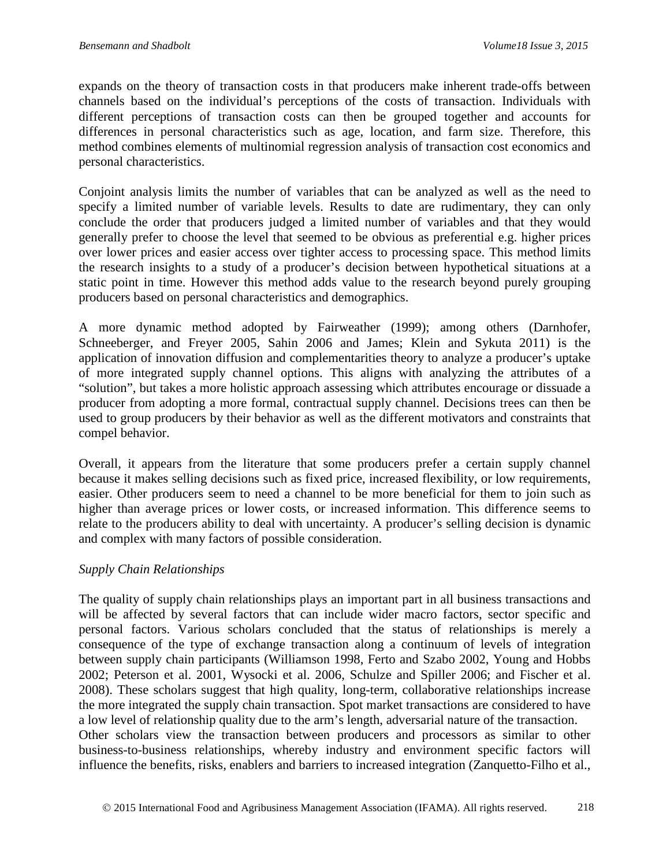expands on the theory of transaction costs in that producers make inherent trade-offs between channels based on the individual's perceptions of the costs of transaction. Individuals with different perceptions of transaction costs can then be grouped together and accounts for differences in personal characteristics such as age, location, and farm size. Therefore, this method combines elements of multinomial regression analysis of transaction cost economics and personal characteristics.

Conjoint analysis limits the number of variables that can be analyzed as well as the need to specify a limited number of variable levels. Results to date are rudimentary, they can only conclude the order that producers judged a limited number of variables and that they would generally prefer to choose the level that seemed to be obvious as preferential e.g. higher prices over lower prices and easier access over tighter access to processing space. This method limits the research insights to a study of a producer's decision between hypothetical situations at a static point in time. However this method adds value to the research beyond purely grouping producers based on personal characteristics and demographics.

A more dynamic method adopted by Fairweather (1999); among others (Darnhofer, Schneeberger, and Freyer 2005, Sahin 2006 and James; Klein and Sykuta 2011) is the application of innovation diffusion and complementarities theory to analyze a producer's uptake of more integrated supply channel options. This aligns with analyzing the attributes of a "solution", but takes a more holistic approach assessing which attributes encourage or dissuade a producer from adopting a more formal, contractual supply channel. Decisions trees can then be used to group producers by their behavior as well as the different motivators and constraints that compel behavior.

Overall, it appears from the literature that some producers prefer a certain supply channel because it makes selling decisions such as fixed price, increased flexibility, or low requirements, easier. Other producers seem to need a channel to be more beneficial for them to join such as higher than average prices or lower costs, or increased information. This difference seems to relate to the producers ability to deal with uncertainty. A producer's selling decision is dynamic and complex with many factors of possible consideration.

### *Supply Chain Relationships*

The quality of supply chain relationships plays an important part in all business transactions and will be affected by several factors that can include wider macro factors, sector specific and personal factors. Various scholars concluded that the status of relationships is merely a consequence of the type of exchange transaction along a continuum of levels of integration between supply chain participants (Williamson 1998, Ferto and Szabo 2002, Young and Hobbs 2002; Peterson et al. 2001, Wysocki et al. 2006, Schulze and Spiller 2006; and Fischer et al. 2008). These scholars suggest that high quality, long-term, collaborative relationships increase the more integrated the supply chain transaction. Spot market transactions are considered to have a low level of relationship quality due to the arm's length, adversarial nature of the transaction. Other scholars view the transaction between producers and processors as similar to other business-to-business relationships, whereby industry and environment specific factors will influence the benefits, risks, enablers and barriers to increased integration (Zanquetto-Filho et al.,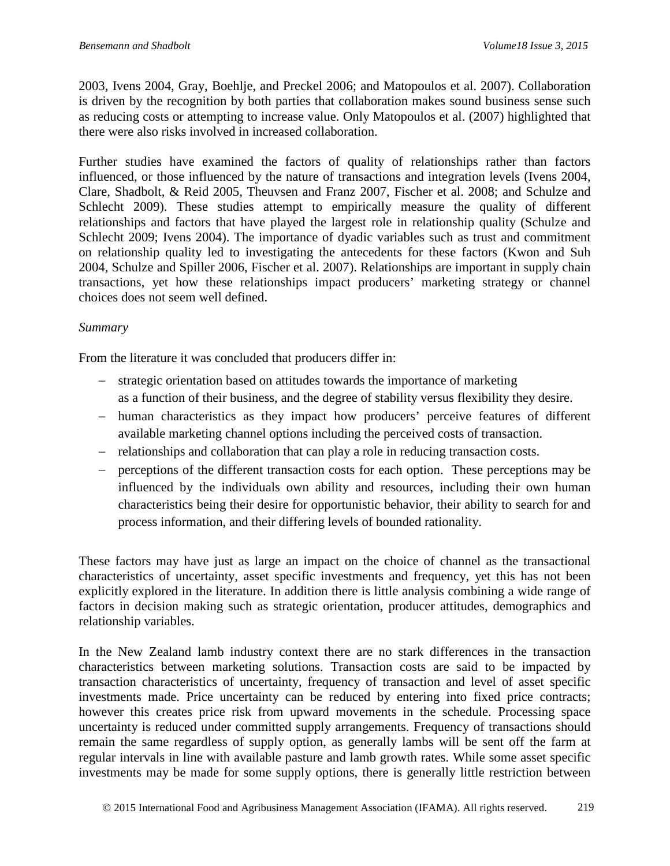2003, Ivens 2004, Gray, Boehlje, and Preckel 2006; and Matopoulos et al. 2007). Collaboration is driven by the recognition by both parties that collaboration makes sound business sense such as reducing costs or attempting to increase value. Only Matopoulos et al. (2007) highlighted that there were also risks involved in increased collaboration.

Further studies have examined the factors of quality of relationships rather than factors influenced, or those influenced by the nature of transactions and integration levels (Ivens 2004, Clare, Shadbolt, & Reid 2005, Theuvsen and Franz 2007, Fischer et al. 2008; and Schulze and Schlecht 2009). These studies attempt to empirically measure the quality of different relationships and factors that have played the largest role in relationship quality (Schulze and Schlecht 2009; Ivens 2004). The importance of dyadic variables such as trust and commitment on relationship quality led to investigating the antecedents for these factors (Kwon and Suh 2004, Schulze and Spiller 2006, Fischer et al. 2007). Relationships are important in supply chain transactions, yet how these relationships impact producers' marketing strategy or channel choices does not seem well defined.

### *Summary*

From the literature it was concluded that producers differ in:

- − strategic orientation based on attitudes towards the importance of marketing as a function of their business, and the degree of stability versus flexibility they desire.
- − human characteristics as they impact how producers' perceive features of different available marketing channel options including the perceived costs of transaction.
- − relationships and collaboration that can play a role in reducing transaction costs.
- − perceptions of the different transaction costs for each option. These perceptions may be influenced by the individuals own ability and resources, including their own human characteristics being their desire for opportunistic behavior, their ability to search for and process information, and their differing levels of bounded rationality.

These factors may have just as large an impact on the choice of channel as the transactional characteristics of uncertainty, asset specific investments and frequency, yet this has not been explicitly explored in the literature. In addition there is little analysis combining a wide range of factors in decision making such as strategic orientation, producer attitudes, demographics and relationship variables.

In the New Zealand lamb industry context there are no stark differences in the transaction characteristics between marketing solutions. Transaction costs are said to be impacted by transaction characteristics of uncertainty, frequency of transaction and level of asset specific investments made. Price uncertainty can be reduced by entering into fixed price contracts; however this creates price risk from upward movements in the schedule. Processing space uncertainty is reduced under committed supply arrangements. Frequency of transactions should remain the same regardless of supply option, as generally lambs will be sent off the farm at regular intervals in line with available pasture and lamb growth rates. While some asset specific investments may be made for some supply options, there is generally little restriction between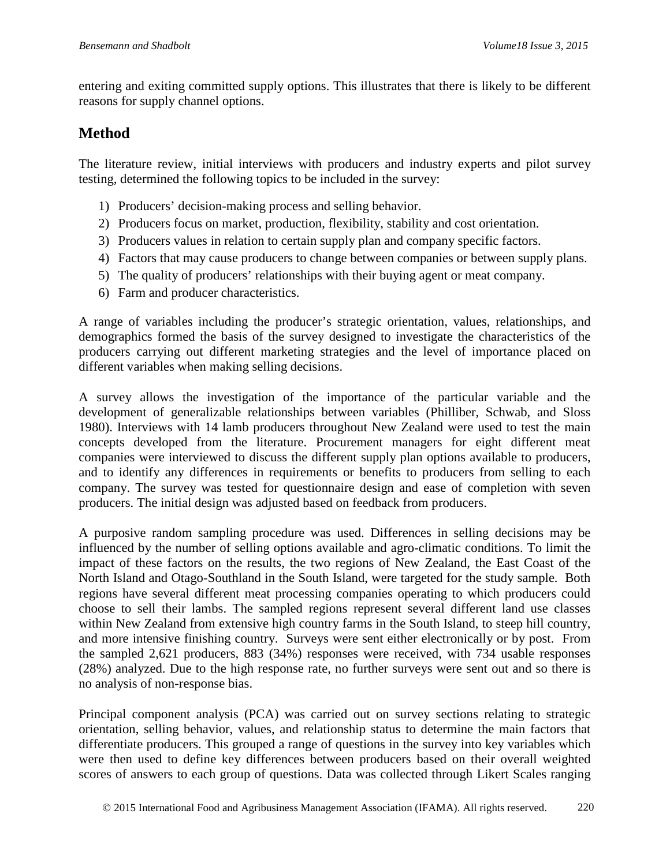entering and exiting committed supply options. This illustrates that there is likely to be different reasons for supply channel options.

# **Method**

The literature review, initial interviews with producers and industry experts and pilot survey testing, determined the following topics to be included in the survey:

- 1) Producers' decision-making process and selling behavior.
- 2) Producers focus on market, production, flexibility, stability and cost orientation.
- 3) Producers values in relation to certain supply plan and company specific factors.
- 4) Factors that may cause producers to change between companies or between supply plans.
- 5) The quality of producers' relationships with their buying agent or meat company.
- 6) Farm and producer characteristics.

A range of variables including the producer's strategic orientation, values, relationships, and demographics formed the basis of the survey designed to investigate the characteristics of the producers carrying out different marketing strategies and the level of importance placed on different variables when making selling decisions.

A survey allows the investigation of the importance of the particular variable and the development of generalizable relationships between variables (Philliber, Schwab, and Sloss 1980). Interviews with 14 lamb producers throughout New Zealand were used to test the main concepts developed from the literature. Procurement managers for eight different meat companies were interviewed to discuss the different supply plan options available to producers, and to identify any differences in requirements or benefits to producers from selling to each company. The survey was tested for questionnaire design and ease of completion with seven producers. The initial design was adjusted based on feedback from producers.

A purposive random sampling procedure was used. Differences in selling decisions may be influenced by the number of selling options available and agro-climatic conditions. To limit the impact of these factors on the results, the two regions of New Zealand, the East Coast of the North Island and Otago-Southland in the South Island, were targeted for the study sample. Both regions have several different meat processing companies operating to which producers could choose to sell their lambs. The sampled regions represent several different land use classes within New Zealand from extensive high country farms in the South Island, to steep hill country, and more intensive finishing country. Surveys were sent either electronically or by post. From the sampled 2,621 producers, 883 (34%) responses were received, with 734 usable responses (28%) analyzed. Due to the high response rate, no further surveys were sent out and so there is no analysis of non-response bias.

Principal component analysis (PCA) was carried out on survey sections relating to strategic orientation, selling behavior, values, and relationship status to determine the main factors that differentiate producers. This grouped a range of questions in the survey into key variables which were then used to define key differences between producers based on their overall weighted scores of answers to each group of questions. Data was collected through Likert Scales ranging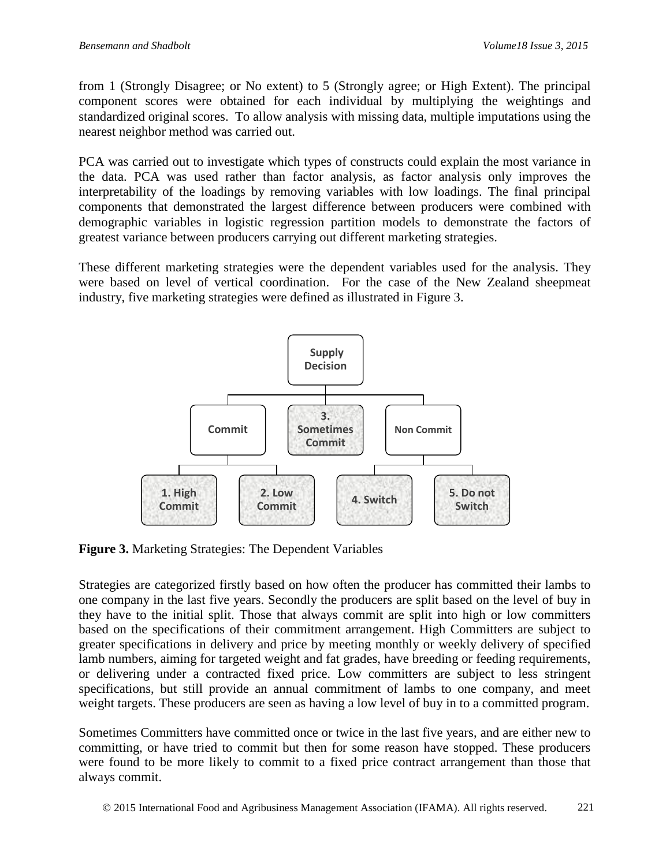from 1 (Strongly Disagree; or No extent) to 5 (Strongly agree; or High Extent). The principal component scores were obtained for each individual by multiplying the weightings and standardized original scores. To allow analysis with missing data, multiple imputations using the nearest neighbor method was carried out.

PCA was carried out to investigate which types of constructs could explain the most variance in the data. PCA was used rather than factor analysis, as factor analysis only improves the interpretability of the loadings by removing variables with low loadings. The final principal components that demonstrated the largest difference between producers were combined with demographic variables in logistic regression partition models to demonstrate the factors of greatest variance between producers carrying out different marketing strategies.

These different marketing strategies were the dependent variables used for the analysis. They were based on level of vertical coordination. For the case of the New Zealand sheepmeat industry, five marketing strategies were defined as illustrated in Figure 3.



**Figure 3.** Marketing Strategies: The Dependent Variables

Strategies are categorized firstly based on how often the producer has committed their lambs to one company in the last five years. Secondly the producers are split based on the level of buy in they have to the initial split. Those that always commit are split into high or low committers based on the specifications of their commitment arrangement. High Committers are subject to greater specifications in delivery and price by meeting monthly or weekly delivery of specified lamb numbers, aiming for targeted weight and fat grades, have breeding or feeding requirements, or delivering under a contracted fixed price. Low committers are subject to less stringent specifications, but still provide an annual commitment of lambs to one company, and meet weight targets. These producers are seen as having a low level of buy in to a committed program.

Sometimes Committers have committed once or twice in the last five years, and are either new to committing, or have tried to commit but then for some reason have stopped. These producers were found to be more likely to commit to a fixed price contract arrangement than those that always commit.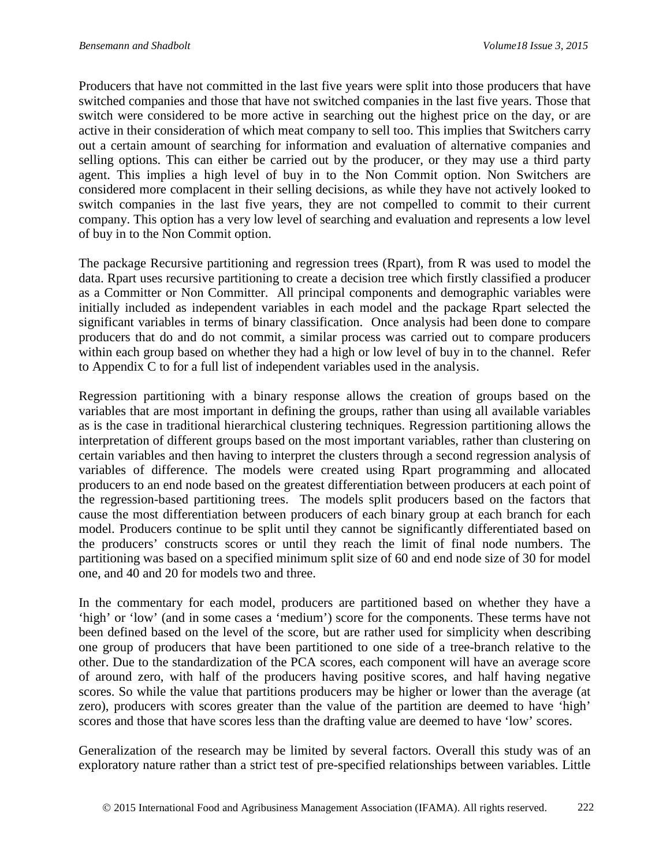Producers that have not committed in the last five years were split into those producers that have switched companies and those that have not switched companies in the last five years. Those that switch were considered to be more active in searching out the highest price on the day, or are active in their consideration of which meat company to sell too. This implies that Switchers carry out a certain amount of searching for information and evaluation of alternative companies and selling options. This can either be carried out by the producer, or they may use a third party agent. This implies a high level of buy in to the Non Commit option. Non Switchers are considered more complacent in their selling decisions, as while they have not actively looked to switch companies in the last five years, they are not compelled to commit to their current company. This option has a very low level of searching and evaluation and represents a low level of buy in to the Non Commit option.

The package Recursive partitioning and regression trees (Rpart), from R was used to model the data. Rpart uses recursive partitioning to create a decision tree which firstly classified a producer as a Committer or Non Committer. All principal components and demographic variables were initially included as independent variables in each model and the package Rpart selected the significant variables in terms of binary classification. Once analysis had been done to compare producers that do and do not commit, a similar process was carried out to compare producers within each group based on whether they had a high or low level of buy in to the channel. Refer to Appendix C to for a full list of independent variables used in the analysis.

Regression partitioning with a binary response allows the creation of groups based on the variables that are most important in defining the groups, rather than using all available variables as is the case in traditional hierarchical clustering techniques. Regression partitioning allows the interpretation of different groups based on the most important variables, rather than clustering on certain variables and then having to interpret the clusters through a second regression analysis of variables of difference. The models were created using Rpart programming and allocated producers to an end node based on the greatest differentiation between producers at each point of the regression-based partitioning trees. The models split producers based on the factors that cause the most differentiation between producers of each binary group at each branch for each model. Producers continue to be split until they cannot be significantly differentiated based on the producers' constructs scores or until they reach the limit of final node numbers. The partitioning was based on a specified minimum split size of 60 and end node size of 30 for model one, and 40 and 20 for models two and three.

In the commentary for each model, producers are partitioned based on whether they have a 'high' or 'low' (and in some cases a 'medium') score for the components. These terms have not been defined based on the level of the score, but are rather used for simplicity when describing one group of producers that have been partitioned to one side of a tree-branch relative to the other. Due to the standardization of the PCA scores, each component will have an average score of around zero, with half of the producers having positive scores, and half having negative scores. So while the value that partitions producers may be higher or lower than the average (at zero), producers with scores greater than the value of the partition are deemed to have 'high' scores and those that have scores less than the drafting value are deemed to have 'low' scores.

Generalization of the research may be limited by several factors. Overall this study was of an exploratory nature rather than a strict test of pre-specified relationships between variables. Little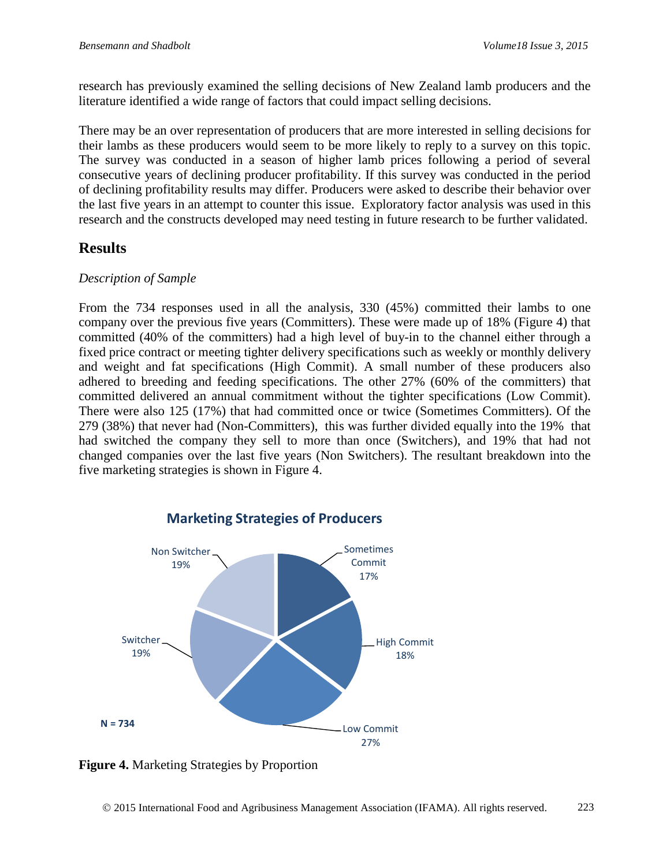research has previously examined the selling decisions of New Zealand lamb producers and the literature identified a wide range of factors that could impact selling decisions.

There may be an over representation of producers that are more interested in selling decisions for their lambs as these producers would seem to be more likely to reply to a survey on this topic. The survey was conducted in a season of higher lamb prices following a period of several consecutive years of declining producer profitability. If this survey was conducted in the period of declining profitability results may differ. Producers were asked to describe their behavior over the last five years in an attempt to counter this issue. Exploratory factor analysis was used in this research and the constructs developed may need testing in future research to be further validated.

# **Results**

### *Description of Sample*

From the 734 responses used in all the analysis, 330 (45%) committed their lambs to one company over the previous five years (Committers). These were made up of 18% (Figure 4) that committed (40% of the committers) had a high level of buy-in to the channel either through a fixed price contract or meeting tighter delivery specifications such as weekly or monthly delivery and weight and fat specifications (High Commit). A small number of these producers also adhered to breeding and feeding specifications. The other 27% (60% of the committers) that committed delivered an annual commitment without the tighter specifications (Low Commit). There were also 125 (17%) that had committed once or twice (Sometimes Committers). Of the 279 (38%) that never had (Non-Committers), this was further divided equally into the 19% that had switched the company they sell to more than once (Switchers), and 19% that had not changed companies over the last five years (Non Switchers). The resultant breakdown into the five marketing strategies is shown in Figure 4.



**Figure 4.** Marketing Strategies by Proportion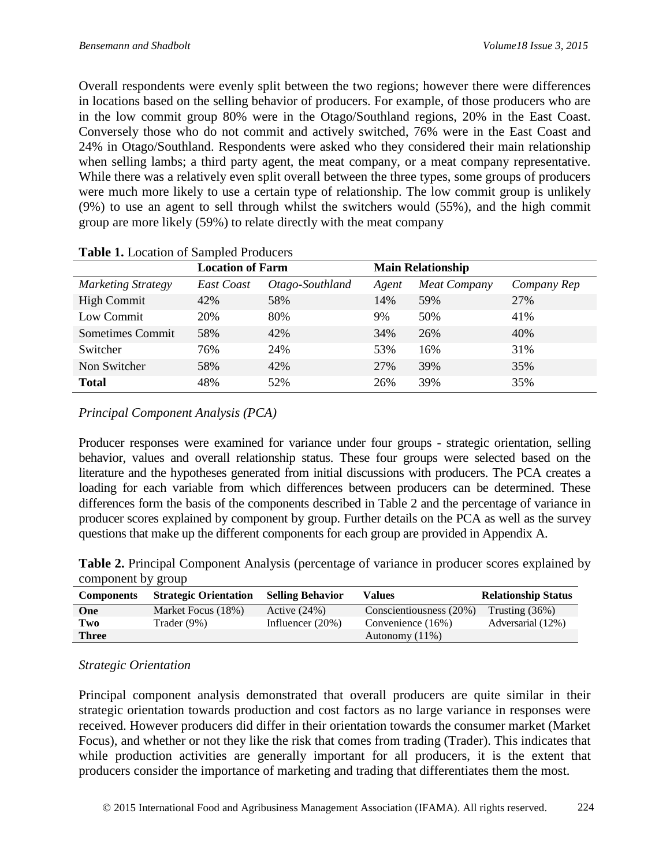Overall respondents were evenly split between the two regions; however there were differences in locations based on the selling behavior of producers. For example, of those producers who are in the low commit group 80% were in the Otago/Southland regions, 20% in the East Coast. Conversely those who do not commit and actively switched, 76% were in the East Coast and 24% in Otago/Southland. Respondents were asked who they considered their main relationship when selling lambs; a third party agent, the meat company, or a meat company representative. While there was a relatively even split overall between the three types, some groups of producers were much more likely to use a certain type of relationship. The low commit group is unlikely (9%) to use an agent to sell through whilst the switchers would (55%), and the high commit group are more likely (59%) to relate directly with the meat company

| $\sim$ 0.000 1000 1000 1000 1000 10000 100000 100000 100000 10000 10000 10000 10000 10000 10000 10000 10000 10000 10000 10000 10000 10000 10000 10000 10000 10000 10000 10000 10000 10000 10000 10000 10000 10000 10000 10000 1 |                         |                 |                          |                     |             |
|---------------------------------------------------------------------------------------------------------------------------------------------------------------------------------------------------------------------------------|-------------------------|-----------------|--------------------------|---------------------|-------------|
|                                                                                                                                                                                                                                 | <b>Location of Farm</b> |                 | <b>Main Relationship</b> |                     |             |
| <b>Marketing Strategy</b>                                                                                                                                                                                                       | East Coast              | Otago-Southland | Agent                    | <b>Meat Company</b> | Company Rep |
| <b>High Commit</b>                                                                                                                                                                                                              | 42%                     | 58%             | 14%                      | 59%                 | 27%         |
| Low Commit                                                                                                                                                                                                                      | 20%                     | 80%             | 9%                       | 50%                 | 41%         |
| Sometimes Commit                                                                                                                                                                                                                | 58%                     | 42%             | 34%                      | 26%                 | 40%         |
| Switcher                                                                                                                                                                                                                        | 76%                     | 24%             | 53%                      | 16%                 | 31%         |
| Non Switcher                                                                                                                                                                                                                    | 58%                     | 42%             | 27%                      | 39%                 | 35%         |
| <b>Total</b>                                                                                                                                                                                                                    | 48%                     | 52%             | 26%                      | 39%                 | 35%         |

### *Principal Component Analysis (PCA)*

Producer responses were examined for variance under four groups - strategic orientation, selling behavior, values and overall relationship status. These four groups were selected based on the literature and the hypotheses generated from initial discussions with producers. The PCA creates a loading for each variable from which differences between producers can be determined. These differences form the basis of the components described in Table 2 and the percentage of variance in producer scores explained by component by group. Further details on the PCA as well as the survey questions that make up the different components for each group are provided in Appendix A.

**Table 2.** Principal Component Analysis (percentage of variance in producer scores explained by component by group

| <b>Components</b> | <b>Strategic Orientation</b> | <b>Selling Behavior</b> | Values                  | <b>Relationship Status</b> |
|-------------------|------------------------------|-------------------------|-------------------------|----------------------------|
| One               | Market Focus (18%)           | Active $(24%)$          | Conscientiousness (20%) | Trusting $(36%)$           |
| Two               | Trader (9%)                  | Influencer $(20\%)$     | Convenience (16%)       | Adversarial (12%)          |
| <b>Three</b>      |                              |                         | Autonomy $(11\%)$       |                            |

## *Strategic Orientation*

Principal component analysis demonstrated that overall producers are quite similar in their strategic orientation towards production and cost factors as no large variance in responses were received. However producers did differ in their orientation towards the consumer market (Market Focus), and whether or not they like the risk that comes from trading (Trader). This indicates that while production activities are generally important for all producers, it is the extent that producers consider the importance of marketing and trading that differentiates them the most.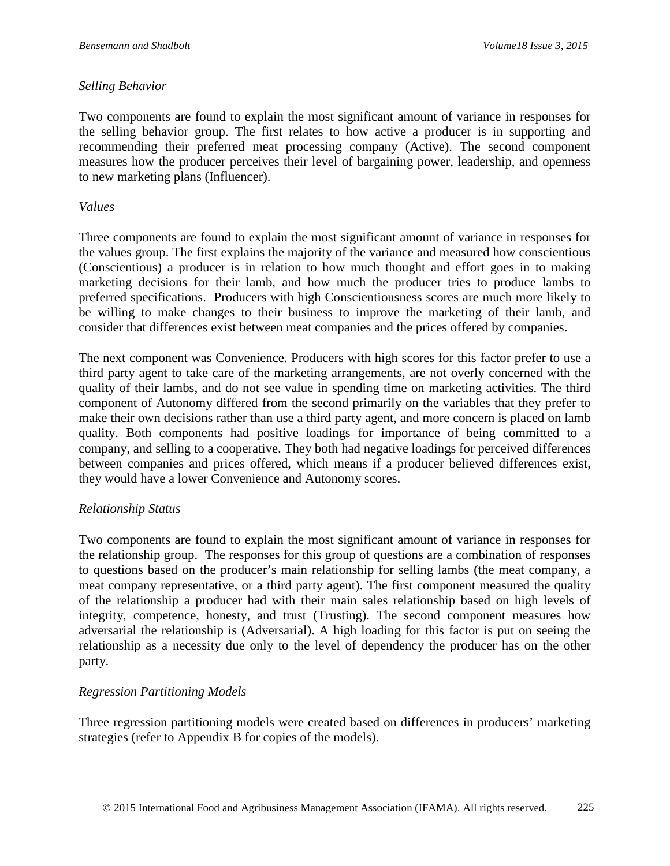### *Selling Behavior*

Two components are found to explain the most significant amount of variance in responses for the selling behavior group. The first relates to how active a producer is in supporting and recommending their preferred meat processing company (Active). The second component measures how the producer perceives their level of bargaining power, leadership, and openness to new marketing plans (Influencer).

#### *Values*

Three components are found to explain the most significant amount of variance in responses for the values group. The first explains the majority of the variance and measured how conscientious (Conscientious) a producer is in relation to how much thought and effort goes in to making marketing decisions for their lamb, and how much the producer tries to produce lambs to preferred specifications. Producers with high Conscientiousness scores are much more likely to be willing to make changes to their business to improve the marketing of their lamb, and consider that differences exist between meat companies and the prices offered by companies.

The next component was Convenience. Producers with high scores for this factor prefer to use a third party agent to take care of the marketing arrangements, are not overly concerned with the quality of their lambs, and do not see value in spending time on marketing activities. The third component of Autonomy differed from the second primarily on the variables that they prefer to make their own decisions rather than use a third party agent, and more concern is placed on lamb quality. Both components had positive loadings for importance of being committed to a company, and selling to a cooperative. They both had negative loadings for perceived differences between companies and prices offered, which means if a producer believed differences exist, they would have a lower Convenience and Autonomy scores.

#### *Relationship Status*

Two components are found to explain the most significant amount of variance in responses for the relationship group. The responses for this group of questions are a combination of responses to questions based on the producer's main relationship for selling lambs (the meat company, a meat company representative, or a third party agent). The first component measured the quality of the relationship a producer had with their main sales relationship based on high levels of integrity, competence, honesty, and trust (Trusting). The second component measures how adversarial the relationship is (Adversarial). A high loading for this factor is put on seeing the relationship as a necessity due only to the level of dependency the producer has on the other party.

#### *Regression Partitioning Models*

Three regression partitioning models were created based on differences in producers' marketing strategies (refer to Appendix B for copies of the models).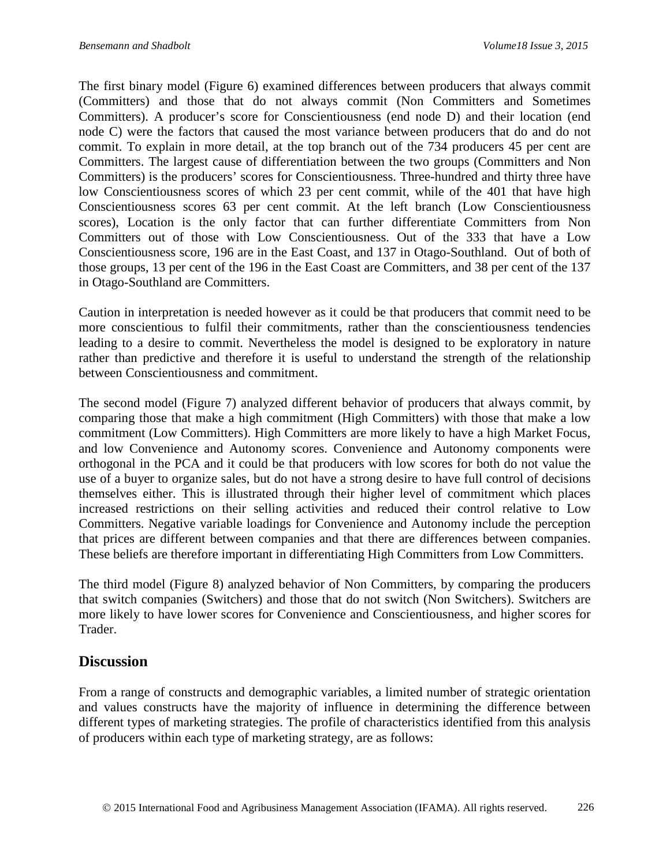The first binary model (Figure 6) examined differences between producers that always commit (Committers) and those that do not always commit (Non Committers and Sometimes Committers). A producer's score for Conscientiousness (end node D) and their location (end node C) were the factors that caused the most variance between producers that do and do not commit. To explain in more detail, at the top branch out of the 734 producers 45 per cent are Committers. The largest cause of differentiation between the two groups (Committers and Non Committers) is the producers' scores for Conscientiousness. Three-hundred and thirty three have low Conscientiousness scores of which 23 per cent commit, while of the 401 that have high Conscientiousness scores 63 per cent commit. At the left branch (Low Conscientiousness scores), Location is the only factor that can further differentiate Committers from Non Committers out of those with Low Conscientiousness. Out of the 333 that have a Low Conscientiousness score, 196 are in the East Coast, and 137 in Otago-Southland. Out of both of those groups, 13 per cent of the 196 in the East Coast are Committers, and 38 per cent of the 137 in Otago-Southland are Committers.

Caution in interpretation is needed however as it could be that producers that commit need to be more conscientious to fulfil their commitments, rather than the conscientiousness tendencies leading to a desire to commit. Nevertheless the model is designed to be exploratory in nature rather than predictive and therefore it is useful to understand the strength of the relationship between Conscientiousness and commitment.

The second model (Figure 7) analyzed different behavior of producers that always commit, by comparing those that make a high commitment (High Committers) with those that make a low commitment (Low Committers). High Committers are more likely to have a high Market Focus, and low Convenience and Autonomy scores. Convenience and Autonomy components were orthogonal in the PCA and it could be that producers with low scores for both do not value the use of a buyer to organize sales, but do not have a strong desire to have full control of decisions themselves either. This is illustrated through their higher level of commitment which places increased restrictions on their selling activities and reduced their control relative to Low Committers. Negative variable loadings for Convenience and Autonomy include the perception that prices are different between companies and that there are differences between companies. These beliefs are therefore important in differentiating High Committers from Low Committers.

The third model (Figure 8) analyzed behavior of Non Committers, by comparing the producers that switch companies (Switchers) and those that do not switch (Non Switchers). Switchers are more likely to have lower scores for Convenience and Conscientiousness, and higher scores for Trader.

# **Discussion**

From a range of constructs and demographic variables, a limited number of strategic orientation and values constructs have the majority of influence in determining the difference between different types of marketing strategies. The profile of characteristics identified from this analysis of producers within each type of marketing strategy, are as follows: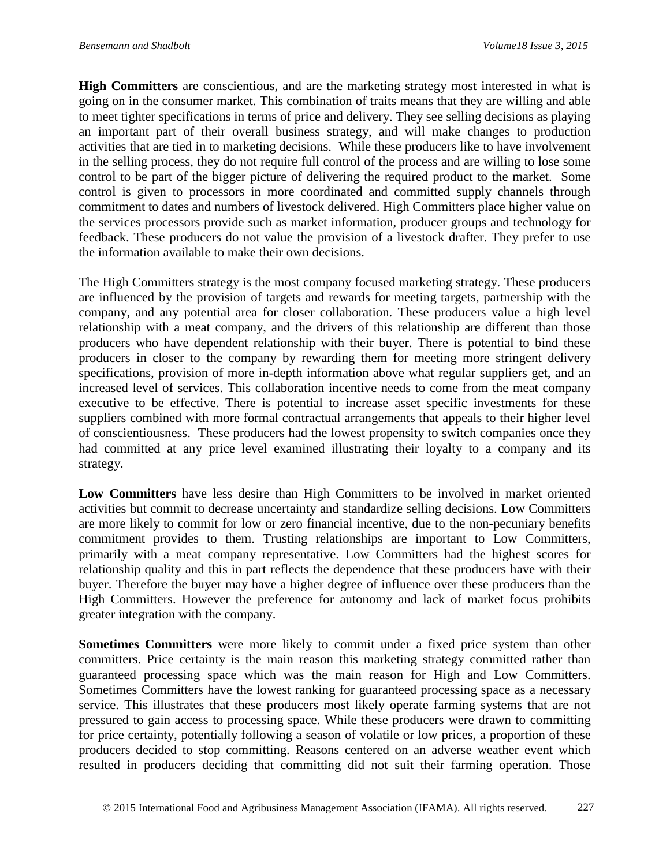**High Committers** are conscientious, and are the marketing strategy most interested in what is going on in the consumer market. This combination of traits means that they are willing and able to meet tighter specifications in terms of price and delivery. They see selling decisions as playing an important part of their overall business strategy, and will make changes to production activities that are tied in to marketing decisions. While these producers like to have involvement in the selling process, they do not require full control of the process and are willing to lose some control to be part of the bigger picture of delivering the required product to the market. Some control is given to processors in more coordinated and committed supply channels through commitment to dates and numbers of livestock delivered. High Committers place higher value on the services processors provide such as market information, producer groups and technology for feedback. These producers do not value the provision of a livestock drafter. They prefer to use the information available to make their own decisions.

The High Committers strategy is the most company focused marketing strategy. These producers are influenced by the provision of targets and rewards for meeting targets, partnership with the company, and any potential area for closer collaboration. These producers value a high level relationship with a meat company, and the drivers of this relationship are different than those producers who have dependent relationship with their buyer. There is potential to bind these producers in closer to the company by rewarding them for meeting more stringent delivery specifications, provision of more in-depth information above what regular suppliers get, and an increased level of services. This collaboration incentive needs to come from the meat company executive to be effective. There is potential to increase asset specific investments for these suppliers combined with more formal contractual arrangements that appeals to their higher level of conscientiousness. These producers had the lowest propensity to switch companies once they had committed at any price level examined illustrating their loyalty to a company and its strategy.

**Low Committers** have less desire than High Committers to be involved in market oriented activities but commit to decrease uncertainty and standardize selling decisions. Low Committers are more likely to commit for low or zero financial incentive, due to the non-pecuniary benefits commitment provides to them. Trusting relationships are important to Low Committers, primarily with a meat company representative. Low Committers had the highest scores for relationship quality and this in part reflects the dependence that these producers have with their buyer. Therefore the buyer may have a higher degree of influence over these producers than the High Committers. However the preference for autonomy and lack of market focus prohibits greater integration with the company.

**Sometimes Committers** were more likely to commit under a fixed price system than other committers. Price certainty is the main reason this marketing strategy committed rather than guaranteed processing space which was the main reason for High and Low Committers. Sometimes Committers have the lowest ranking for guaranteed processing space as a necessary service. This illustrates that these producers most likely operate farming systems that are not pressured to gain access to processing space. While these producers were drawn to committing for price certainty, potentially following a season of volatile or low prices, a proportion of these producers decided to stop committing. Reasons centered on an adverse weather event which resulted in producers deciding that committing did not suit their farming operation. Those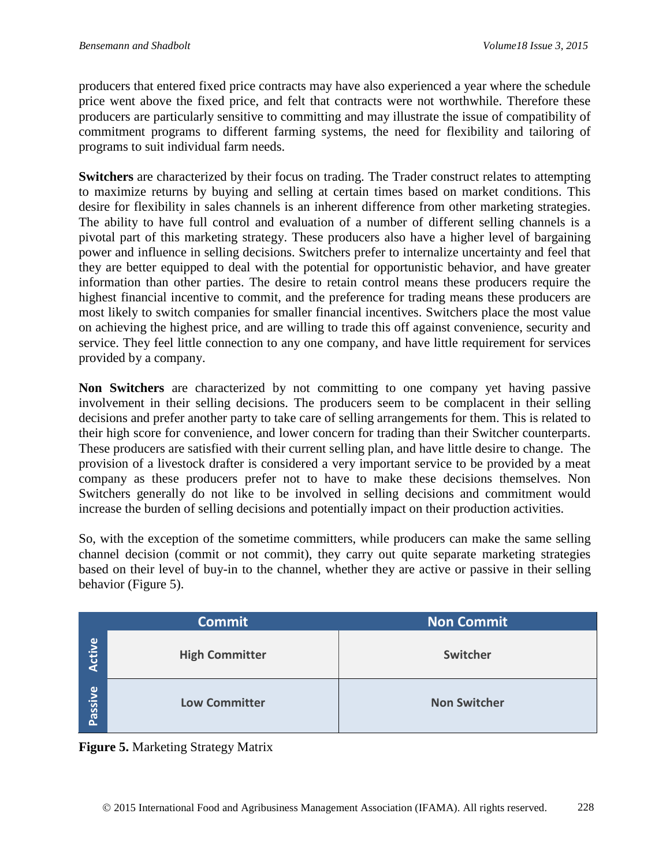producers that entered fixed price contracts may have also experienced a year where the schedule price went above the fixed price, and felt that contracts were not worthwhile. Therefore these producers are particularly sensitive to committing and may illustrate the issue of compatibility of commitment programs to different farming systems, the need for flexibility and tailoring of programs to suit individual farm needs.

**Switchers** are characterized by their focus on trading. The Trader construct relates to attempting to maximize returns by buying and selling at certain times based on market conditions. This desire for flexibility in sales channels is an inherent difference from other marketing strategies. The ability to have full control and evaluation of a number of different selling channels is a pivotal part of this marketing strategy. These producers also have a higher level of bargaining power and influence in selling decisions. Switchers prefer to internalize uncertainty and feel that they are better equipped to deal with the potential for opportunistic behavior, and have greater information than other parties. The desire to retain control means these producers require the highest financial incentive to commit, and the preference for trading means these producers are most likely to switch companies for smaller financial incentives. Switchers place the most value on achieving the highest price, and are willing to trade this off against convenience, security and service. They feel little connection to any one company, and have little requirement for services provided by a company.

**Non Switchers** are characterized by not committing to one company yet having passive involvement in their selling decisions. The producers seem to be complacent in their selling decisions and prefer another party to take care of selling arrangements for them. This is related to their high score for convenience, and lower concern for trading than their Switcher counterparts. These producers are satisfied with their current selling plan, and have little desire to change. The provision of a livestock drafter is considered a very important service to be provided by a meat company as these producers prefer not to have to make these decisions themselves. Non Switchers generally do not like to be involved in selling decisions and commitment would increase the burden of selling decisions and potentially impact on their production activities.

So, with the exception of the sometime committers, while producers can make the same selling channel decision (commit or not commit), they carry out quite separate marketing strategies based on their level of buy-in to the channel, whether they are active or passive in their selling behavior (Figure 5).

|                | <b>Commit</b>         | <b>Non Commit</b>   |
|----------------|-----------------------|---------------------|
| Active         | <b>High Committer</b> | Switcher            |
| <b>Passive</b> | <b>Low Committer</b>  | <b>Non Switcher</b> |

**Figure 5.** Marketing Strategy Matrix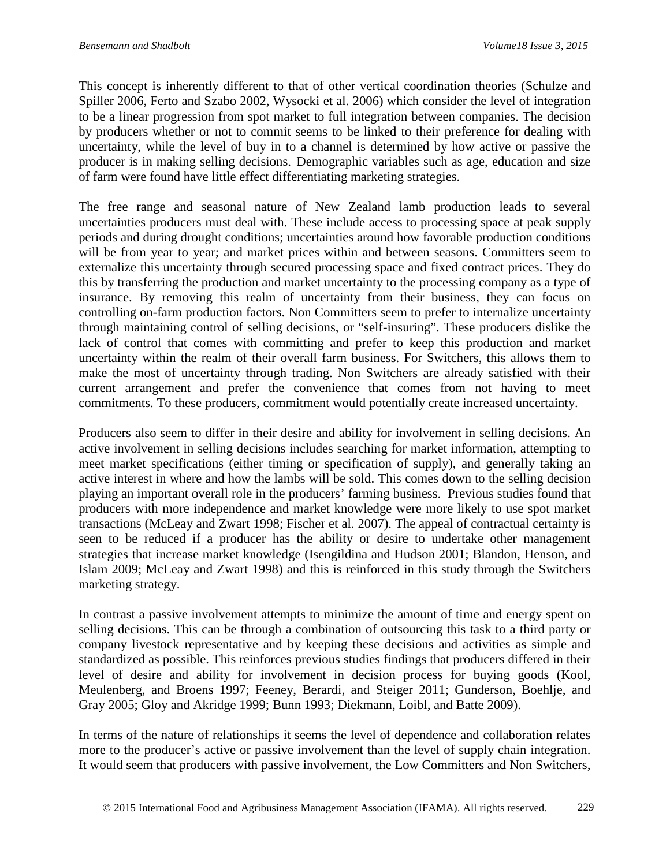This concept is inherently different to that of other vertical coordination theories (Schulze and Spiller 2006, Ferto and Szabo 2002, Wysocki et al. 2006) which consider the level of integration to be a linear progression from spot market to full integration between companies. The decision by producers whether or not to commit seems to be linked to their preference for dealing with uncertainty, while the level of buy in to a channel is determined by how active or passive the producer is in making selling decisions. Demographic variables such as age, education and size of farm were found have little effect differentiating marketing strategies.

The free range and seasonal nature of New Zealand lamb production leads to several uncertainties producers must deal with. These include access to processing space at peak supply periods and during drought conditions; uncertainties around how favorable production conditions will be from year to year; and market prices within and between seasons. Committers seem to externalize this uncertainty through secured processing space and fixed contract prices. They do this by transferring the production and market uncertainty to the processing company as a type of insurance. By removing this realm of uncertainty from their business, they can focus on controlling on-farm production factors. Non Committers seem to prefer to internalize uncertainty through maintaining control of selling decisions, or "self-insuring". These producers dislike the lack of control that comes with committing and prefer to keep this production and market uncertainty within the realm of their overall farm business. For Switchers, this allows them to make the most of uncertainty through trading. Non Switchers are already satisfied with their current arrangement and prefer the convenience that comes from not having to meet commitments. To these producers, commitment would potentially create increased uncertainty.

Producers also seem to differ in their desire and ability for involvement in selling decisions. An active involvement in selling decisions includes searching for market information, attempting to meet market specifications (either timing or specification of supply), and generally taking an active interest in where and how the lambs will be sold. This comes down to the selling decision playing an important overall role in the producers' farming business. Previous studies found that producers with more independence and market knowledge were more likely to use spot market transactions (McLeay and Zwart 1998; Fischer et al. 2007). The appeal of contractual certainty is seen to be reduced if a producer has the ability or desire to undertake other management strategies that increase market knowledge (Isengildina and Hudson 2001; Blandon, Henson, and Islam 2009; McLeay and Zwart 1998) and this is reinforced in this study through the Switchers marketing strategy.

In contrast a passive involvement attempts to minimize the amount of time and energy spent on selling decisions. This can be through a combination of outsourcing this task to a third party or company livestock representative and by keeping these decisions and activities as simple and standardized as possible. This reinforces previous studies findings that producers differed in their level of desire and ability for involvement in decision process for buying goods (Kool, Meulenberg, and Broens 1997; Feeney, Berardi, and Steiger 2011; Gunderson, Boehlje, and Gray 2005; Gloy and Akridge 1999; Bunn 1993; Diekmann, Loibl, and Batte 2009).

In terms of the nature of relationships it seems the level of dependence and collaboration relates more to the producer's active or passive involvement than the level of supply chain integration. It would seem that producers with passive involvement, the Low Committers and Non Switchers,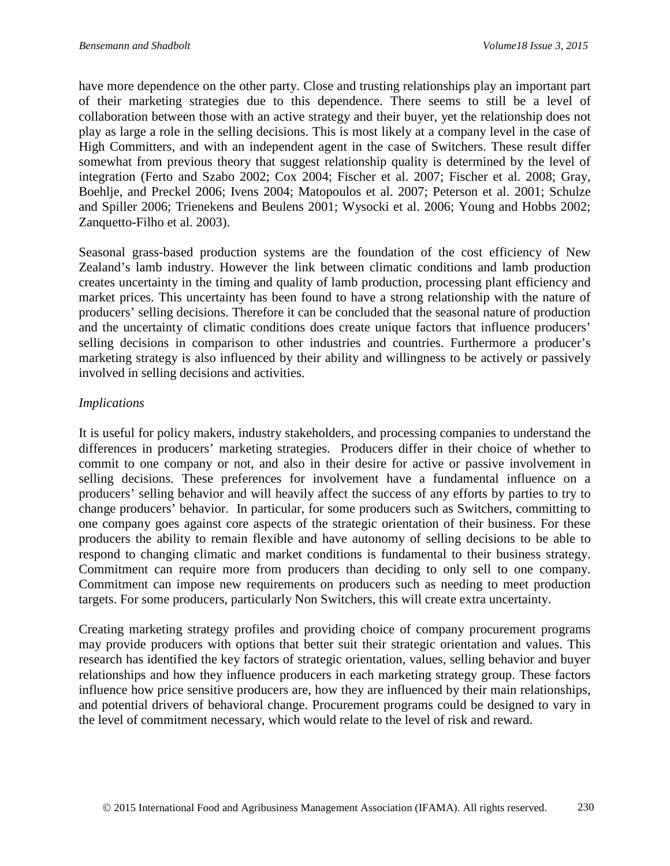have more dependence on the other party. Close and trusting relationships play an important part of their marketing strategies due to this dependence. There seems to still be a level of collaboration between those with an active strategy and their buyer, yet the relationship does not play as large a role in the selling decisions. This is most likely at a company level in the case of High Committers, and with an independent agent in the case of Switchers. These result differ somewhat from previous theory that suggest relationship quality is determined by the level of integration (Ferto and Szabo 2002; Cox 2004; Fischer et al. 2007; Fischer et al. 2008; Gray, Boehlje, and Preckel 2006; Ivens 2004; Matopoulos et al. 2007; Peterson et al. 2001; Schulze and Spiller 2006; Trienekens and Beulens 2001; Wysocki et al. 2006; Young and Hobbs 2002; Zanquetto-Filho et al. 2003).

Seasonal grass-based production systems are the foundation of the cost efficiency of New Zealand's lamb industry. However the link between climatic conditions and lamb production creates uncertainty in the timing and quality of lamb production, processing plant efficiency and market prices. This uncertainty has been found to have a strong relationship with the nature of producers' selling decisions. Therefore it can be concluded that the seasonal nature of production and the uncertainty of climatic conditions does create unique factors that influence producers' selling decisions in comparison to other industries and countries. Furthermore a producer's marketing strategy is also influenced by their ability and willingness to be actively or passively involved in selling decisions and activities.

#### *Implications*

It is useful for policy makers, industry stakeholders, and processing companies to understand the differences in producers' marketing strategies. Producers differ in their choice of whether to commit to one company or not, and also in their desire for active or passive involvement in selling decisions. These preferences for involvement have a fundamental influence on a producers' selling behavior and will heavily affect the success of any efforts by parties to try to change producers' behavior. In particular, for some producers such as Switchers, committing to one company goes against core aspects of the strategic orientation of their business. For these producers the ability to remain flexible and have autonomy of selling decisions to be able to respond to changing climatic and market conditions is fundamental to their business strategy. Commitment can require more from producers than deciding to only sell to one company. Commitment can impose new requirements on producers such as needing to meet production targets. For some producers, particularly Non Switchers, this will create extra uncertainty.

Creating marketing strategy profiles and providing choice of company procurement programs may provide producers with options that better suit their strategic orientation and values. This research has identified the key factors of strategic orientation, values, selling behavior and buyer relationships and how they influence producers in each marketing strategy group. These factors influence how price sensitive producers are, how they are influenced by their main relationships, and potential drivers of behavioral change. Procurement programs could be designed to vary in the level of commitment necessary, which would relate to the level of risk and reward.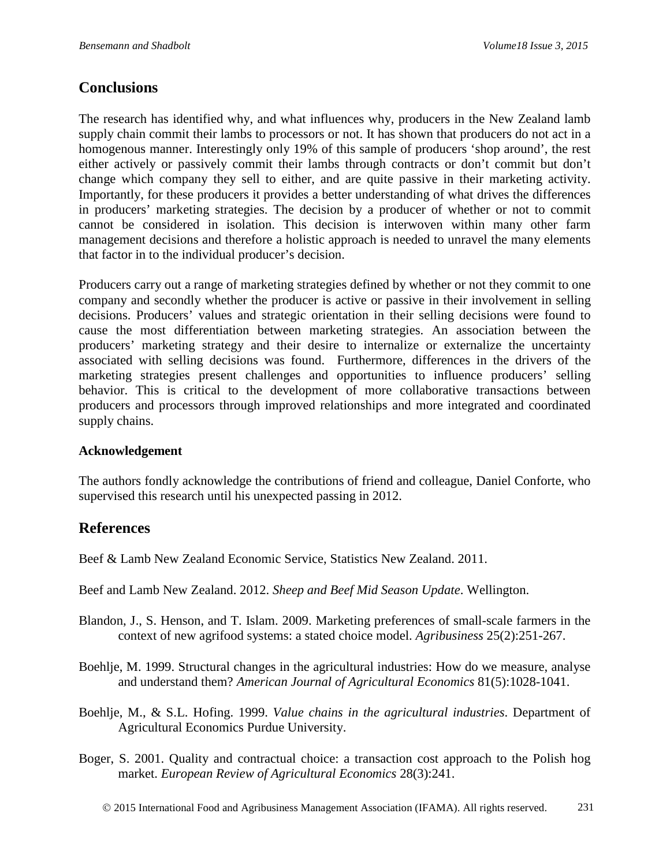# **Conclusions**

The research has identified why, and what influences why, producers in the New Zealand lamb supply chain commit their lambs to processors or not. It has shown that producers do not act in a homogenous manner. Interestingly only 19% of this sample of producers 'shop around', the rest either actively or passively commit their lambs through contracts or don't commit but don't change which company they sell to either, and are quite passive in their marketing activity. Importantly, for these producers it provides a better understanding of what drives the differences in producers' marketing strategies. The decision by a producer of whether or not to commit cannot be considered in isolation. This decision is interwoven within many other farm management decisions and therefore a holistic approach is needed to unravel the many elements that factor in to the individual producer's decision.

Producers carry out a range of marketing strategies defined by whether or not they commit to one company and secondly whether the producer is active or passive in their involvement in selling decisions. Producers' values and strategic orientation in their selling decisions were found to cause the most differentiation between marketing strategies. An association between the producers' marketing strategy and their desire to internalize or externalize the uncertainty associated with selling decisions was found. Furthermore, differences in the drivers of the marketing strategies present challenges and opportunities to influence producers' selling behavior. This is critical to the development of more collaborative transactions between producers and processors through improved relationships and more integrated and coordinated supply chains.

### **Acknowledgement**

The authors fondly acknowledge the contributions of friend and colleague, Daniel Conforte, who supervised this research until his unexpected passing in 2012.

# **References**

Beef & Lamb New Zealand Economic Service, Statistics New Zealand. 2011.

- Beef and Lamb New Zealand. 2012. *Sheep and Beef Mid Season Update*. Wellington.
- Blandon, J., S. Henson, and T. Islam. 2009. Marketing preferences of small-scale farmers in the context of new agrifood systems: a stated choice model. *Agribusiness* 25(2):251-267.
- <span id="page-20-0"></span>Boehlje, M. 1999. Structural changes in the agricultural industries: How do we measure, analyse and understand them? *American Journal of Agricultural Economics* 81(5):1028-1041.
- <span id="page-20-1"></span>Boehlje, M., & S.L. Hofing. 1999. *Value chains in the agricultural industries*. Department of Agricultural Economics Purdue University.
- Boger, S. 2001. Quality and contractual choice: a transaction cost approach to the Polish hog market. *European Review of Agricultural Economics* 28(3):241.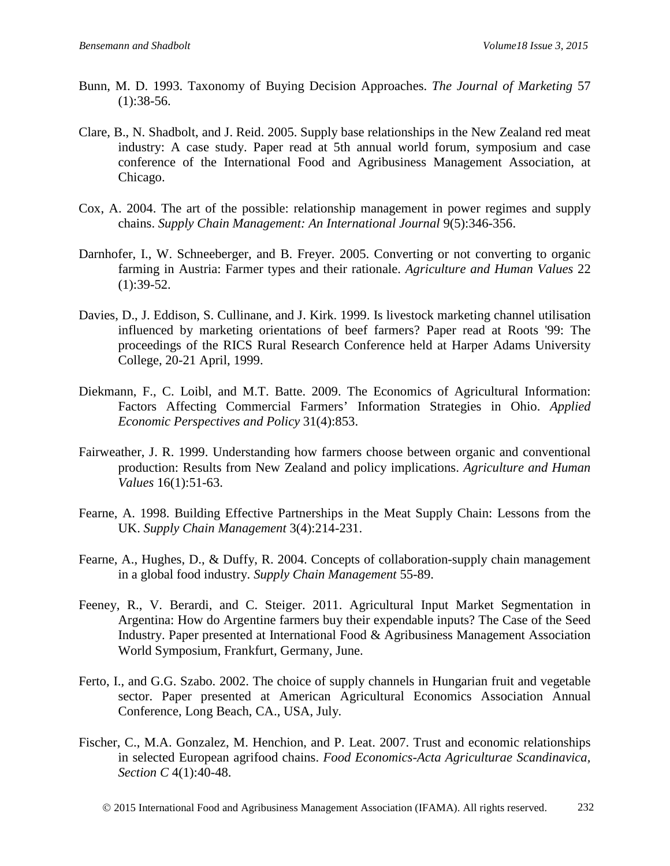- Bunn, M. D. 1993. Taxonomy of Buying Decision Approaches. *The Journal of Marketing* 57  $(1):38-56.$
- Clare, B., N. Shadbolt, and J. Reid. 2005. Supply base relationships in the New Zealand red meat industry: A case study. Paper read at 5th annual world forum, symposium and case conference of the International Food and Agribusiness Management Association, at Chicago.
- Cox, A. 2004. The art of the possible: relationship management in power regimes and supply chains. *Supply Chain Management: An International Journal* 9(5):346-356.
- Darnhofer, I., W. Schneeberger, and B. Freyer. 2005. Converting or not converting to organic farming in Austria: Farmer types and their rationale. *Agriculture and Human Values* 22  $(1):39-52.$
- Davies, D., J. Eddison, S. Cullinane, and J. Kirk. 1999. Is livestock marketing channel utilisation influenced by marketing orientations of beef farmers? Paper read at Roots '99: The proceedings of the RICS Rural Research Conference held at Harper Adams University College, 20-21 April, 1999.
- Diekmann, F., C. Loibl, and M.T. Batte. 2009. The Economics of Agricultural Information: Factors Affecting Commercial Farmers' Information Strategies in Ohio. *Applied Economic Perspectives and Policy* 31(4):853.
- Fairweather, J. R. 1999. Understanding how farmers choose between organic and conventional production: Results from New Zealand and policy implications. *Agriculture and Human Values* 16(1):51-63.
- <span id="page-21-0"></span>Fearne, A. 1998. Building Effective Partnerships in the Meat Supply Chain: Lessons from the UK. *Supply Chain Management* 3(4):214-231.
- <span id="page-21-1"></span>Fearne, A., Hughes, D., & Duffy, R. 2004. Concepts of collaboration-supply chain management in a global food industry. *Supply Chain Management* 55-89.
- Feeney, R., V. Berardi, and C. Steiger. 2011. Agricultural Input Market Segmentation in Argentina: How do Argentine farmers buy their expendable inputs? The Case of the Seed Industry. Paper presented at International Food & Agribusiness Management Association World Symposium, Frankfurt, Germany, June.
- Ferto, I., and G.G. Szabo. 2002. The choice of supply channels in Hungarian fruit and vegetable sector. Paper presented at American Agricultural Economics Association Annual Conference, Long Beach, CA., USA, July.
- Fischer, C., M.A. Gonzalez, M. Henchion, and P. Leat. 2007. Trust and economic relationships in selected European agrifood chains. *Food Economics-Acta Agriculturae Scandinavica, Section C* 4(1):40-48.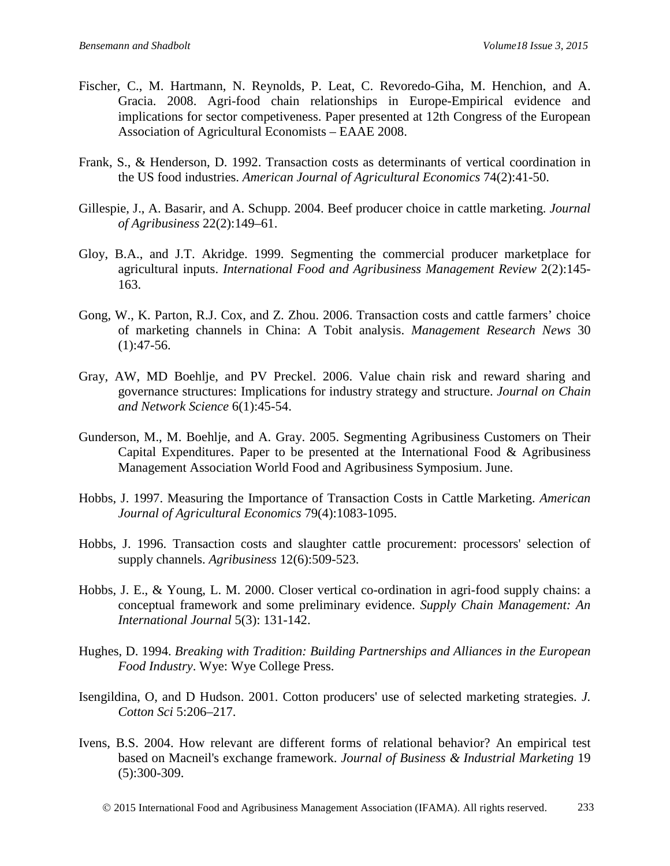- Fischer, C., M. Hartmann, N. Reynolds, P. Leat, C. Revoredo-Giha, M. Henchion, and A. Gracia. 2008. Agri-food chain relationships in Europe-Empirical evidence and implications for sector competiveness. Paper presented at 12th Congress of the European Association of Agricultural Economists – EAAE 2008.
- <span id="page-22-1"></span>Frank, S., & Henderson, D. 1992. Transaction costs as determinants of vertical coordination in the US food industries. *American Journal of Agricultural Economics* 74(2):41-50.
- Gillespie, J., A. Basarir, and A. Schupp. 2004. Beef producer choice in cattle marketing. *Journal of Agribusiness* 22(2):149–61.
- Gloy, B.A., and J.T. Akridge. 1999. Segmenting the commercial producer marketplace for agricultural inputs. *International Food and Agribusiness Management Review* 2(2):145- 163.
- Gong, W., K. Parton, R.J. Cox, and Z. Zhou. 2006. Transaction costs and cattle farmers' choice of marketing channels in China: A Tobit analysis. *Management Research News* 30  $(1):47-56.$
- Gray, AW, MD Boehlje, and PV Preckel. 2006. Value chain risk and reward sharing and governance structures: Implications for industry strategy and structure. *Journal on Chain and Network Science* 6(1):45-54.
- Gunderson, M., M. Boehlje, and A. Gray. 2005. Segmenting Agribusiness Customers on Their Capital Expenditures. Paper to be presented at the International Food  $\&$  Agribusiness Management Association World Food and Agribusiness Symposium. June.
- Hobbs, J. 1997. Measuring the Importance of Transaction Costs in Cattle Marketing. *American Journal of Agricultural Economics* 79(4):1083-1095.
- Hobbs, J. 1996. Transaction costs and slaughter cattle procurement: processors' selection of supply channels. *Agribusiness* 12(6):509-523.
- <span id="page-22-0"></span>Hobbs, J. E., & Young, L. M. 2000. Closer vertical co-ordination in agri-food supply chains: a conceptual framework and some preliminary evidence. *Supply Chain Management: An International Journal* 5(3): 131-142.
- <span id="page-22-2"></span>Hughes, D. 1994. *Breaking with Tradition: Building Partnerships and Alliances in the European Food Industry*. Wye: Wye College Press.
- Isengildina, O, and D Hudson. 2001. Cotton producers' use of selected marketing strategies. *J. Cotton Sci* 5:206–217.
- Ivens, B.S. 2004. How relevant are different forms of relational behavior? An empirical test based on Macneil's exchange framework. *Journal of Business & Industrial Marketing* 19 (5):300-309.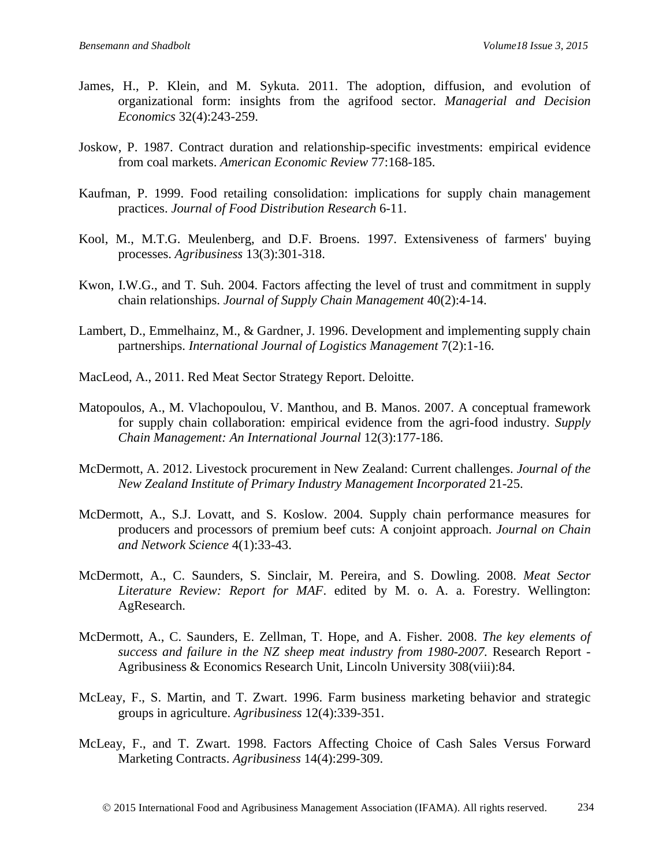- James, H., P. Klein, and M. Sykuta. 2011. The adoption, diffusion, and evolution of organizational form: insights from the agrifood sector. *Managerial and Decision Economics* 32(4):243-259.
- <span id="page-23-1"></span>Joskow, P. 1987. Contract duration and relationship-specific investments: empirical evidence from coal markets. *American Economic Review* 77:168-185.
- <span id="page-23-2"></span>Kaufman, P. 1999. Food retailing consolidation: implications for supply chain management practices. *Journal of Food Distribution Research* 6-11.
- Kool, M., M.T.G. Meulenberg, and D.F. Broens. 1997. Extensiveness of farmers' buying processes. *Agribusiness* 13(3):301-318.
- Kwon, I.W.G., and T. Suh. 2004. Factors affecting the level of trust and commitment in supply chain relationships. *Journal of Supply Chain Management* 40(2):4-14.
- <span id="page-23-0"></span>Lambert, D., Emmelhainz, M., & Gardner, J. 1996. Development and implementing supply chain partnerships. *International Journal of Logistics Management* 7(2):1-16.
- MacLeod, A., 2011. Red Meat Sector Strategy Report. Deloitte.
- Matopoulos, A., M. Vlachopoulou, V. Manthou, and B. Manos. 2007. A conceptual framework for supply chain collaboration: empirical evidence from the agri-food industry. *Supply Chain Management: An International Journal* 12(3):177-186.
- McDermott, A. 2012. Livestock procurement in New Zealand: Current challenges. *Journal of the New Zealand Institute of Primary Industry Management Incorporated* 21-25.
- McDermott, A., S.J. Lovatt, and S. Koslow. 2004. Supply chain performance measures for producers and processors of premium beef cuts: A conjoint approach. *Journal on Chain and Network Science* 4(1):33-43.
- McDermott, A., C. Saunders, S. Sinclair, M. Pereira, and S. Dowling. 2008. *Meat Sector Literature Review: Report for MAF*. edited by M. o. A. a. Forestry. Wellington: AgResearch.
- McDermott, A., C. Saunders, E. Zellman, T. Hope, and A. Fisher. 2008. *The key elements of success and failure in the NZ sheep meat industry from 1980-2007.* Research Report - Agribusiness & Economics Research Unit, Lincoln University 308(viii):84.
- McLeay, F., S. Martin, and T. Zwart. 1996. Farm business marketing behavior and strategic groups in agriculture. *Agribusiness* 12(4):339-351.
- McLeay, F., and T. Zwart. 1998. Factors Affecting Choice of Cash Sales Versus Forward Marketing Contracts. *Agribusiness* 14(4):299-309.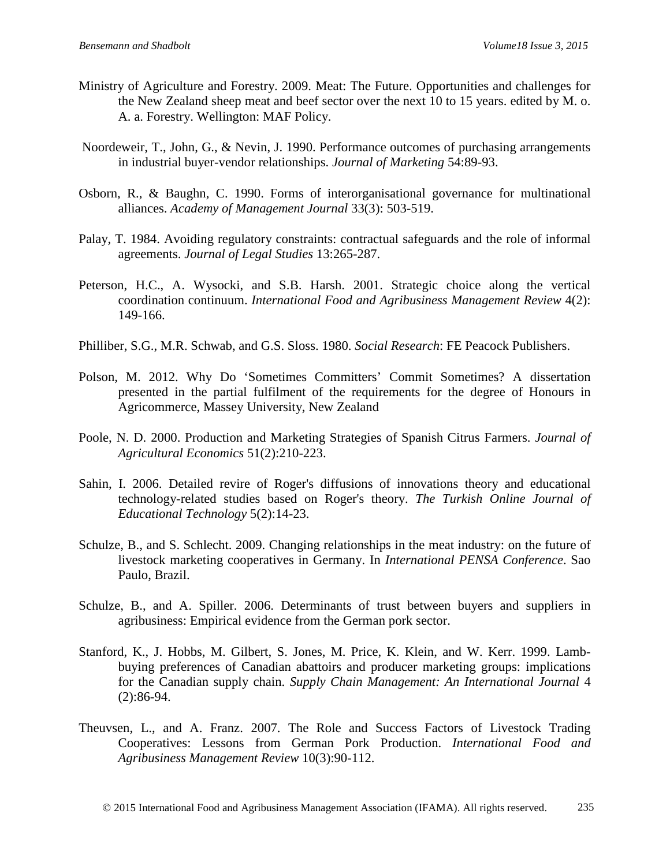- Ministry of Agriculture and Forestry. 2009. Meat: The Future. Opportunities and challenges for the New Zealand sheep meat and beef sector over the next 10 to 15 years. edited by M. o. A. a. Forestry. Wellington: MAF Policy.
- [Noordeweir, T., John, G., & Nevin, J. 1990. Performance outcomes of purchasing arrangements](#page-24-0)  [in industrial buyer-vendor relationships.](#page-24-0) *Journal of Marketing* 54:89-93.
- <span id="page-24-0"></span>Osborn, R., & Baughn, C. 1990. Forms of interorganisational governance for multinational alliances. *Academy of Management Journal* 33(3): 503-519.
- Palay, T. 1984. Avoiding regulatory constraints: contractual safeguards and the role of informal agreements. *Journal of Legal Studies* 13:265-287.
- Peterson, H.C., A. Wysocki, and S.B. Harsh. 2001. Strategic choice along the vertical coordination continuum. *International Food and Agribusiness Management Review* 4(2): 149-166.
- Philliber, S.G., M.R. Schwab, and G.S. Sloss. 1980. *Social Research*: FE Peacock Publishers.
- Polson, M. 2012. Why Do 'Sometimes Committers' Commit Sometimes? A dissertation presented in the partial fulfilment of the requirements for the degree of Honours in Agricommerce, Massey University, New Zealand
- Poole, N. D. 2000. Production and Marketing Strategies of Spanish Citrus Farmers. *Journal of Agricultural Economics* 51(2):210-223.
- Sahin, I. 2006. Detailed revire of Roger's diffusions of innovations theory and educational technology-related studies based on Roger's theory. *The Turkish Online Journal of Educational Technology* 5(2):14-23.
- Schulze, B., and S. Schlecht. 2009. Changing relationships in the meat industry: on the future of livestock marketing cooperatives in Germany. In *International PENSA Conference*. Sao Paulo, Brazil.
- Schulze, B., and A. Spiller. 2006. Determinants of trust between buyers and suppliers in agribusiness: Empirical evidence from the German pork sector.
- Stanford, K., J. Hobbs, M. Gilbert, S. Jones, M. Price, K. Klein, and W. Kerr. 1999. Lambbuying preferences of Canadian abattoirs and producer marketing groups: implications for the Canadian supply chain. *Supply Chain Management: An International Journal* 4 (2):86-94.
- Theuvsen, L., and A. Franz. 2007. The Role and Success Factors of Livestock Trading Cooperatives: Lessons from German Pork Production. *International Food and Agribusiness Management Review* 10(3):90-112.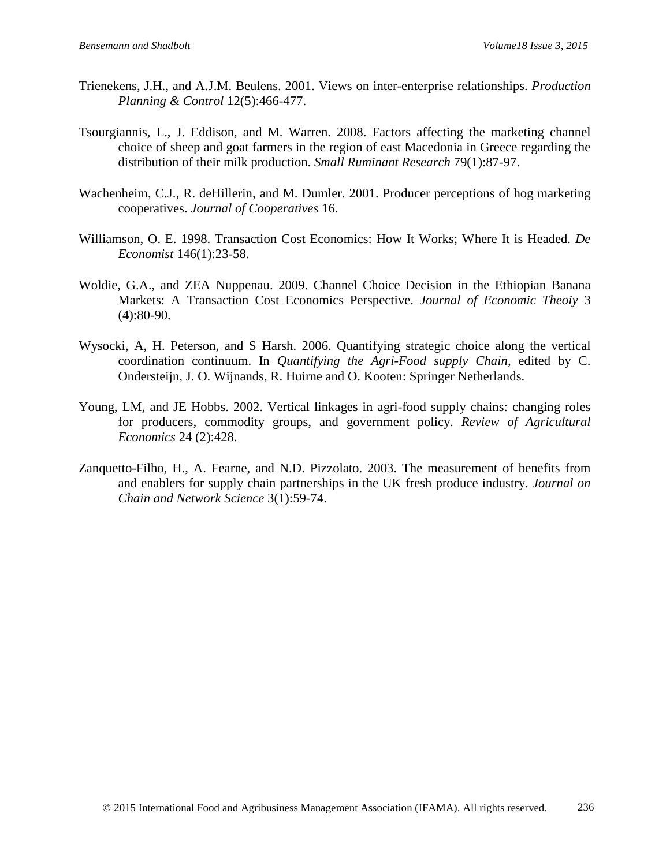- Trienekens, J.H., and A.J.M. Beulens. 2001. Views on inter-enterprise relationships. *Production Planning & Control* 12(5):466-477.
- Tsourgiannis, L., J. Eddison, and M. Warren. 2008. Factors affecting the marketing channel choice of sheep and goat farmers in the region of east Macedonia in Greece regarding the distribution of their milk production. *Small Ruminant Research* 79(1):87-97.
- Wachenheim, C.J., R. deHillerin, and M. Dumler. 2001. Producer perceptions of hog marketing cooperatives. *Journal of Cooperatives* 16.
- Williamson, O. E. 1998. Transaction Cost Economics: How It Works; Where It is Headed. *De Economist* 146(1):23-58.
- Woldie, G.A., and ZEA Nuppenau. 2009. Channel Choice Decision in the Ethiopian Banana Markets: A Transaction Cost Economics Perspective. *Journal of Economic Theoiy* 3 (4):80-90.
- Wysocki, A, H. Peterson, and S Harsh. 2006. Quantifying strategic choice along the vertical coordination continuum. In *Quantifying the Agri-Food supply Chain*, edited by C. Ondersteijn, J. O. Wijnands, R. Huirne and O. Kooten: Springer Netherlands.
- Young, LM, and JE Hobbs. 2002. Vertical linkages in agri-food supply chains: changing roles for producers, commodity groups, and government policy. *Review of Agricultural Economics* 24 (2):428.
- Zanquetto-Filho, H., A. Fearne, and N.D. Pizzolato. 2003. The measurement of benefits from and enablers for supply chain partnerships in the UK fresh produce industry. *Journal on Chain and Network Science* 3(1):59-74.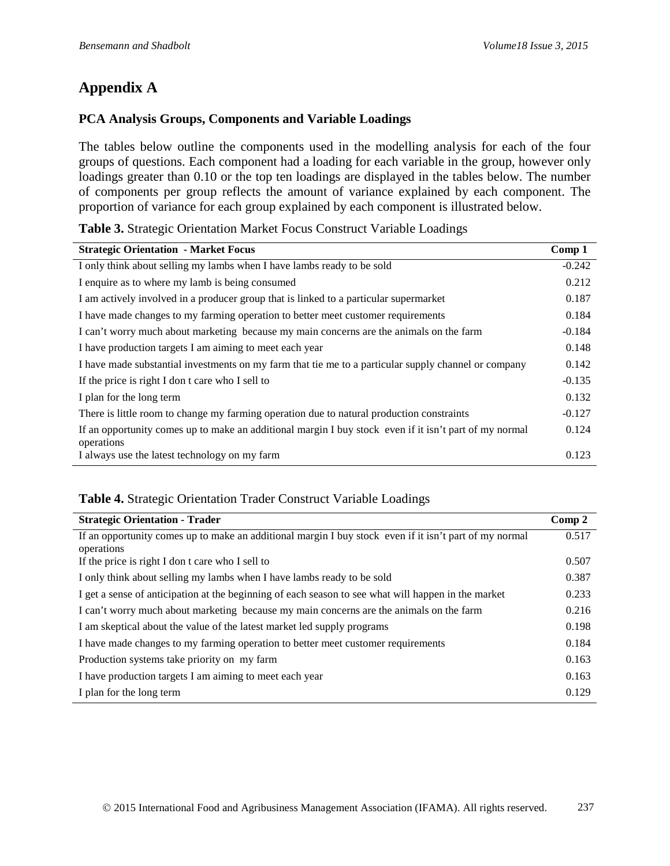# **Appendix A**

### **PCA Analysis Groups, Components and Variable Loadings**

The tables below outline the components used in the modelling analysis for each of the four groups of questions. Each component had a loading for each variable in the group, however only loadings greater than 0.10 or the top ten loadings are displayed in the tables below. The number of components per group reflects the amount of variance explained by each component. The proportion of variance for each group explained by each component is illustrated below.

#### **Table 3.** Strategic Orientation Market Focus Construct Variable Loadings

| <b>Strategic Orientation - Market Focus</b>                                                                          | Comp 1   |
|----------------------------------------------------------------------------------------------------------------------|----------|
| I only think about selling my lambs when I have lambs ready to be sold                                               | $-0.242$ |
| I enquire as to where my lamb is being consumed                                                                      | 0.212    |
| I am actively involved in a producer group that is linked to a particular supermarket                                | 0.187    |
| I have made changes to my farming operation to better meet customer requirements                                     | 0.184    |
| I can't worry much about marketing because my main concerns are the animals on the farm                              | $-0.184$ |
| I have production targets I am aiming to meet each year                                                              | 0.148    |
| I have made substantial investments on my farm that tie me to a particular supply channel or company                 | 0.142    |
| If the price is right I don t care who I sell to                                                                     | $-0.135$ |
| I plan for the long term                                                                                             | 0.132    |
| There is little room to change my farming operation due to natural production constraints                            | $-0.127$ |
| If an opportunity comes up to make an additional margin I buy stock even if it isn't part of my normal<br>operations | 0.124    |
| I always use the latest technology on my farm                                                                        | 0.123    |

### **Table 4.** Strategic Orientation Trader Construct Variable Loadings

| <b>Strategic Orientation - Trader</b>                                                                                | Comp <sub>2</sub> |
|----------------------------------------------------------------------------------------------------------------------|-------------------|
| If an opportunity comes up to make an additional margin I buy stock even if it isn't part of my normal<br>operations | 0.517             |
| If the price is right I don t care who I sell to                                                                     | 0.507             |
| I only think about selling my lambs when I have lambs ready to be sold                                               | 0.387             |
| I get a sense of anticipation at the beginning of each season to see what will happen in the market                  | 0.233             |
| I can't worry much about marketing because my main concerns are the animals on the farm                              | 0.216             |
| I am skeptical about the value of the latest market led supply programs                                              | 0.198             |
| I have made changes to my farming operation to better meet customer requirements                                     | 0.184             |
| Production systems take priority on my farm                                                                          | 0.163             |
| I have production targets I am aiming to meet each year                                                              | 0.163             |
| I plan for the long term                                                                                             | 0.129             |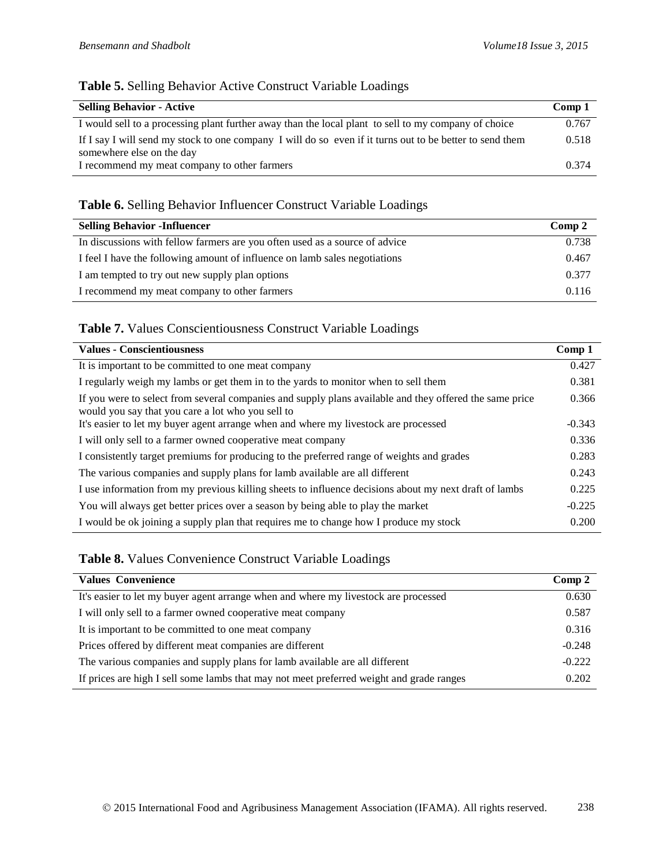### **Table 5.** Selling Behavior Active Construct Variable Loadings

| <b>Selling Behavior - Active</b>                                                                         | Comp 1 |
|----------------------------------------------------------------------------------------------------------|--------|
| I would sell to a processing plant further away than the local plant to sell to my company of choice     | 0.767  |
| If I say I will send my stock to one company I will do so even if it turns out to be better to send them | 0.518  |
| somewhere else on the day                                                                                |        |
| I recommend my meat company to other farmers                                                             | 0.374  |

### **Table 6.** Selling Behavior Influencer Construct Variable Loadings

| <b>Selling Behavior -Influencer</b>                                         | Comp 2 |
|-----------------------------------------------------------------------------|--------|
| In discussions with fellow farmers are you often used as a source of advice | 0.738  |
| I feel I have the following amount of influence on lamb sales negotiations  | 0.467  |
| I am tempted to try out new supply plan options                             | 0.377  |
| I recommend my meat company to other farmers                                | 0.116  |

### **Table 7.** Values Conscientiousness Construct Variable Loadings

| <b>Values - Conscientiousness</b>                                                                                                                            | Comp 1   |
|--------------------------------------------------------------------------------------------------------------------------------------------------------------|----------|
| It is important to be committed to one meat company                                                                                                          | 0.427    |
| I regularly weigh my lambs or get them in to the yards to monitor when to sell them                                                                          | 0.381    |
| If you were to select from several companies and supply plans available and they offered the same price<br>would you say that you care a lot who you sell to | 0.366    |
| It's easier to let my buyer agent arrange when and where my livestock are processed                                                                          | $-0.343$ |
| I will only sell to a farmer owned cooperative meat company                                                                                                  | 0.336    |
| I consistently target premiums for producing to the preferred range of weights and grades                                                                    | 0.283    |
| The various companies and supply plans for lamb available are all different                                                                                  | 0.243    |
| I use information from my previous killing sheets to influence decisions about my next draft of lambs                                                        | 0.225    |
| You will always get better prices over a season by being able to play the market                                                                             | $-0.225$ |
| I would be ok joining a supply plan that requires me to change how I produce my stock                                                                        | 0.200    |

### **Table 8.** Values Convenience Construct Variable Loadings

| <b>Values Convenience</b>                                                                | Comp <sub>2</sub> |
|------------------------------------------------------------------------------------------|-------------------|
| It's easier to let my buyer agent arrange when and where my livestock are processed      | 0.630             |
| I will only sell to a farmer owned cooperative meat company                              | 0.587             |
| It is important to be committed to one meat company                                      | 0.316             |
| Prices offered by different meat companies are different                                 | $-0.248$          |
| The various companies and supply plans for lamb available are all different              | $-0.222$          |
| If prices are high I sell some lambs that may not meet preferred weight and grade ranges | 0.202             |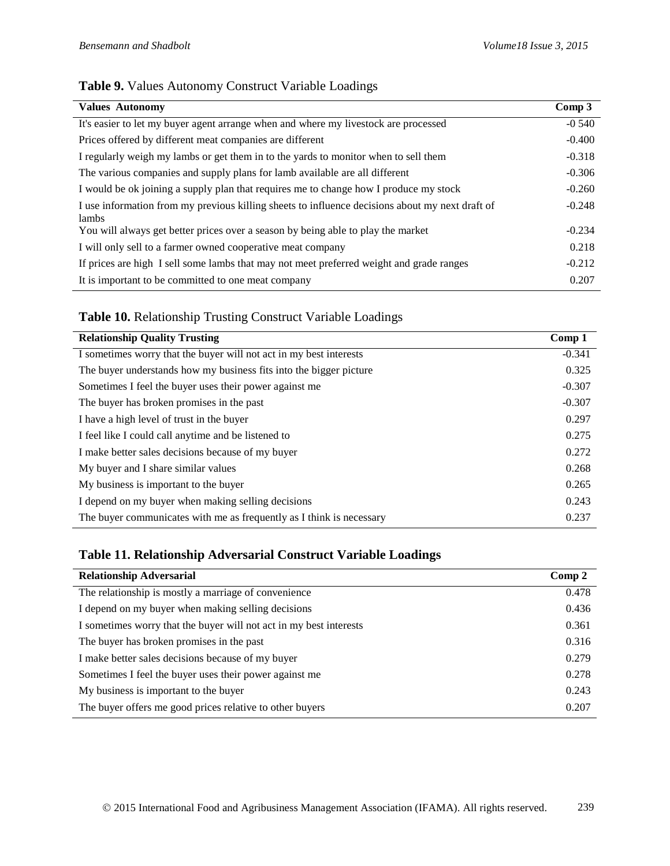### **Table 9.** Values Autonomy Construct Variable Loadings

| <b>Values Autonomy</b>                                                                                   | Comp <sub>3</sub> |
|----------------------------------------------------------------------------------------------------------|-------------------|
| It's easier to let my buyer agent arrange when and where my livestock are processed                      | $-0.540$          |
| Prices offered by different meat companies are different                                                 | $-0.400$          |
| I regularly weigh my lambs or get them in to the yards to monitor when to sell them                      | $-0.318$          |
| The various companies and supply plans for lamb available are all different                              | $-0.306$          |
| I would be ok joining a supply plan that requires me to change how I produce my stock                    | $-0.260$          |
| I use information from my previous killing sheets to influence decisions about my next draft of<br>lambs | $-0.248$          |
| You will always get better prices over a season by being able to play the market                         | $-0.234$          |
| I will only sell to a farmer owned cooperative meat company                                              | 0.218             |
| If prices are high I sell some lambs that may not meet preferred weight and grade ranges                 | $-0.212$          |
| It is important to be committed to one meat company                                                      | 0.207             |

## **Table 10.** Relationship Trusting Construct Variable Loadings

| <b>Relationship Quality Trusting</b>                                 | Comp 1   |
|----------------------------------------------------------------------|----------|
| I sometimes worry that the buyer will not act in my best interests   | $-0.341$ |
| The buyer understands how my business fits into the bigger picture   | 0.325    |
| Sometimes I feel the buyer uses their power against me               | $-0.307$ |
| The buyer has broken promises in the past                            | $-0.307$ |
| I have a high level of trust in the buyer                            | 0.297    |
| I feel like I could call anytime and be listened to                  | 0.275    |
| I make better sales decisions because of my buyer                    | 0.272    |
| My buyer and I share similar values                                  | 0.268    |
| My business is important to the buyer                                | 0.265    |
| I depend on my buyer when making selling decisions                   | 0.243    |
| The buyer communicates with me as frequently as I think is necessary | 0.237    |

## **Table 11. Relationship Adversarial Construct Variable Loadings**

| <b>Relationship Adversarial</b>                                    | Comp 2 |
|--------------------------------------------------------------------|--------|
| The relationship is mostly a marriage of convenience               | 0.478  |
| I depend on my buyer when making selling decisions                 | 0.436  |
| I sometimes worry that the buyer will not act in my best interests | 0.361  |
| The buyer has broken promises in the past                          | 0.316  |
| I make better sales decisions because of my buyer                  | 0.279  |
| Sometimes I feel the buyer uses their power against me             | 0.278  |
| My business is important to the buyer                              | 0.243  |
| The buyer offers me good prices relative to other buyers           | 0.207  |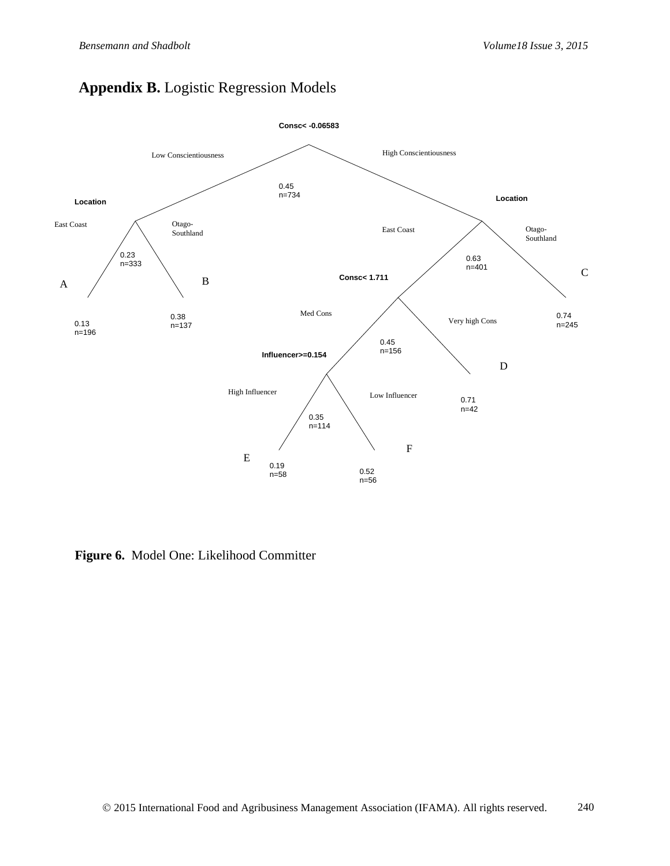# **Appendix B.** Logistic Regression Models



**Figure 6.** Model One: Likelihood Committer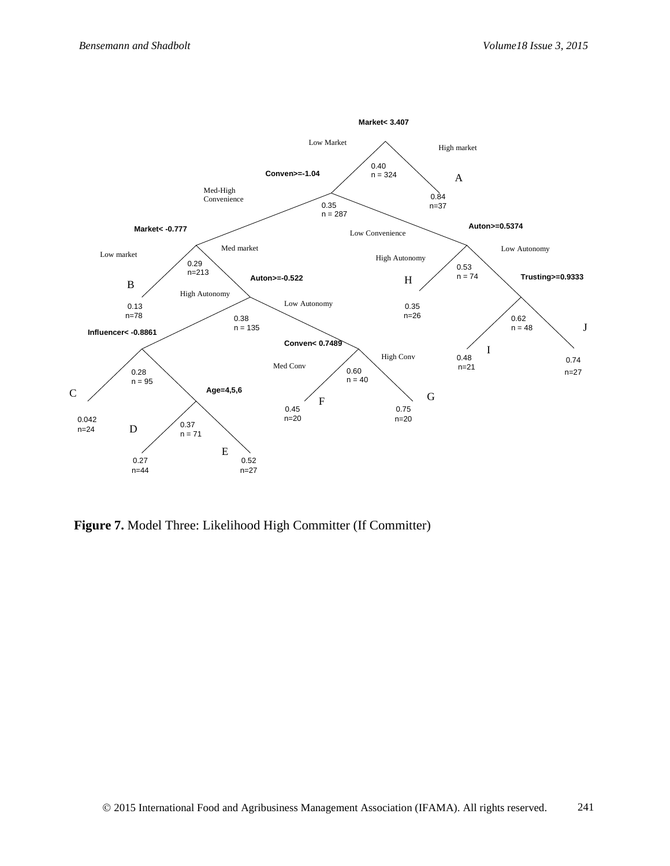

**Figure 7.** Model Three: Likelihood High Committer (If Committer)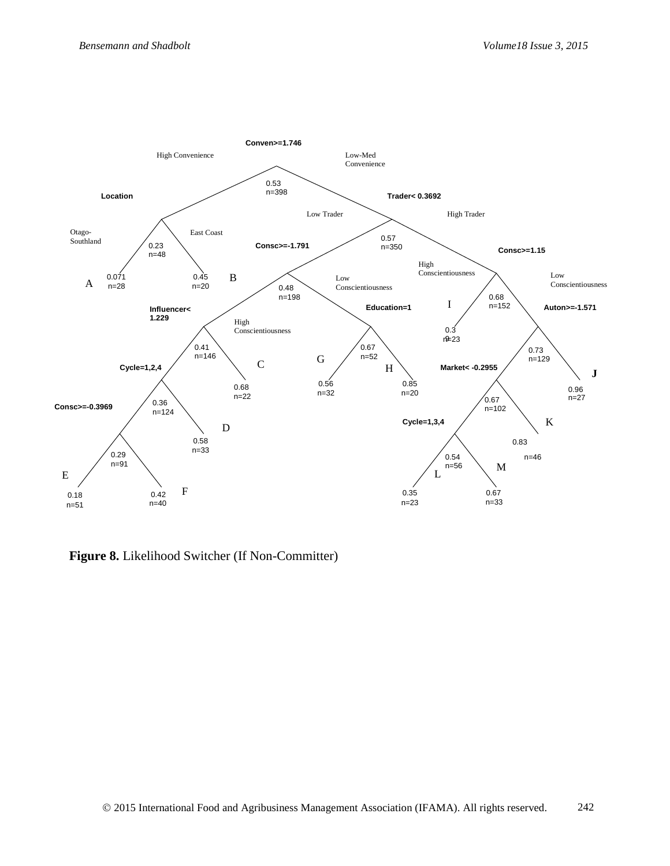

**Figure 8.** Likelihood Switcher (If Non-Committer)